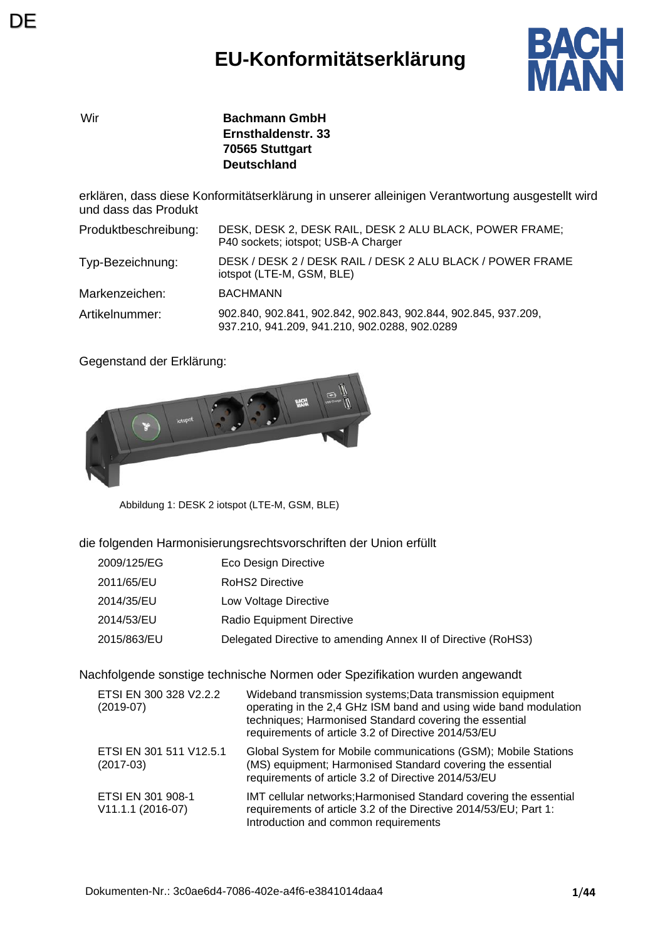## **EU-Konformitätserklärung**



Wir **Bachmann GmbH Ernsthaldenstr. 33 70565 Stuttgart Deutschland**

erklären, dass diese Konformitätserklärung in unserer alleinigen Verantwortung ausgestellt wird und dass das Produkt

| Produktbeschreibung: | DESK, DESK 2, DESK RAIL, DESK 2 ALU BLACK, POWER FRAME;<br>P40 sockets; iotspot; USB-A Charger                  |
|----------------------|-----------------------------------------------------------------------------------------------------------------|
| Typ-Bezeichnung:     | DESK / DESK 2 / DESK RAIL / DESK 2 ALU BLACK / POWER FRAME<br>iotspot (LTE-M, GSM, BLE)                         |
| Markenzeichen:       | <b>BACHMANN</b>                                                                                                 |
| Artikelnummer:       | 902.840, 902.841, 902.842, 902.843, 902.844, 902.845, 937.209,<br>937.210, 941.209, 941.210, 902.0288, 902.0289 |

Gegenstand der Erklärung:



Abbildung 1: DESK 2 iotspot (LTE-M, GSM, BLE)

die folgenden Harmonisierungsrechtsvorschriften der Union erfüllt

- 2009/125/EG Eco Design Directive
- 2011/65/EU RoHS2 Directive
- 2014/35/EU Low Voltage Directive
- 2014/53/EU Radio Equipment Directive
- 2015/863/EU Delegated Directive to amending Annex II of Directive (RoHS3)

Nachfolgende sonstige technische Normen oder Spezifikation wurden angewandt

| ETSI EN 300 328 V2.2.2<br>$(2019-07)$  | Wideband transmission systems; Data transmission equipment<br>operating in the 2,4 GHz ISM band and using wide band modulation<br>techniques; Harmonised Standard covering the essential<br>requirements of article 3.2 of Directive 2014/53/EU |
|----------------------------------------|-------------------------------------------------------------------------------------------------------------------------------------------------------------------------------------------------------------------------------------------------|
| ETSI EN 301 511 V12.5.1<br>$(2017-03)$ | Global System for Mobile communications (GSM); Mobile Stations<br>(MS) equipment; Harmonised Standard covering the essential<br>requirements of article 3.2 of Directive 2014/53/EU                                                             |
| ETSI EN 301 908-1<br>V11.1.1 (2016-07) | IMT cellular networks; Harmonised Standard covering the essential<br>requirements of article 3.2 of the Directive 2014/53/EU; Part 1:<br>Introduction and common requirements                                                                   |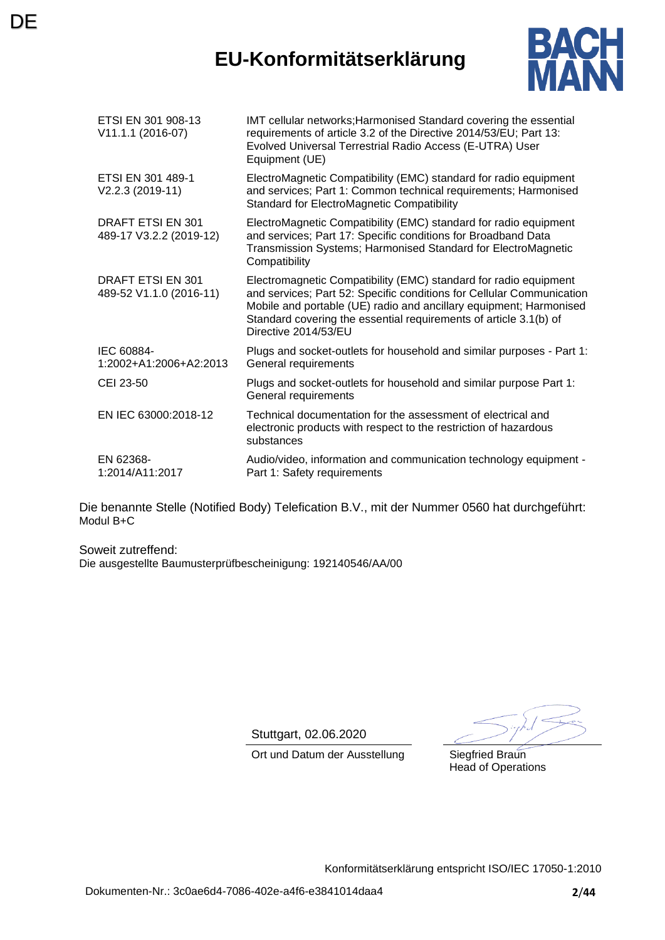### **EU-Konformitätserklärung**

**DE** 



| ETSI EN 301 908-13<br>V11.1.1 (2016-07)             | IMT cellular networks; Harmonised Standard covering the essential<br>requirements of article 3.2 of the Directive 2014/53/EU; Part 13:<br>Evolved Universal Terrestrial Radio Access (E-UTRA) User<br>Equipment (UE)                                                                                         |
|-----------------------------------------------------|--------------------------------------------------------------------------------------------------------------------------------------------------------------------------------------------------------------------------------------------------------------------------------------------------------------|
| ETSI EN 301 489-1<br>V2.2.3 (2019-11)               | ElectroMagnetic Compatibility (EMC) standard for radio equipment<br>and services; Part 1: Common technical requirements; Harmonised<br><b>Standard for ElectroMagnetic Compatibility</b>                                                                                                                     |
| <b>DRAFT ETSI EN 301</b><br>489-17 V3.2.2 (2019-12) | ElectroMagnetic Compatibility (EMC) standard for radio equipment<br>and services; Part 17: Specific conditions for Broadband Data<br>Transmission Systems; Harmonised Standard for ElectroMagnetic<br>Compatibility                                                                                          |
| DRAFT ETSI EN 301<br>489-52 V1.1.0 (2016-11)        | Electromagnetic Compatibility (EMC) standard for radio equipment<br>and services; Part 52: Specific conditions for Cellular Communication<br>Mobile and portable (UE) radio and ancillary equipment; Harmonised<br>Standard covering the essential requirements of article 3.1(b) of<br>Directive 2014/53/EU |
| IEC 60884-<br>1:2002+A1:2006+A2:2013                | Plugs and socket-outlets for household and similar purposes - Part 1:<br>General requirements                                                                                                                                                                                                                |
| CEI 23-50                                           | Plugs and socket-outlets for household and similar purpose Part 1:<br>General requirements                                                                                                                                                                                                                   |
| EN IEC 63000:2018-12                                | Technical documentation for the assessment of electrical and<br>electronic products with respect to the restriction of hazardous<br>substances                                                                                                                                                               |
| EN 62368-<br>1:2014/A11:2017                        | Audio/video, information and communication technology equipment -<br>Part 1: Safety requirements                                                                                                                                                                                                             |

Die benannte Stelle (Notified Body) Telefication B.V., mit der Nummer 0560 hat durchgeführt: Modul B+C

Soweit zutreffend: Die ausgestellte Baumusterprüfbescheinigung: 192140546/AA/00

Stuttgart, 02.06.2020

Ort und Datum der Ausstellung Siegfried Braun Head of Operations

Konformitätserklärung entspricht ISO/IEC 17050-1:2010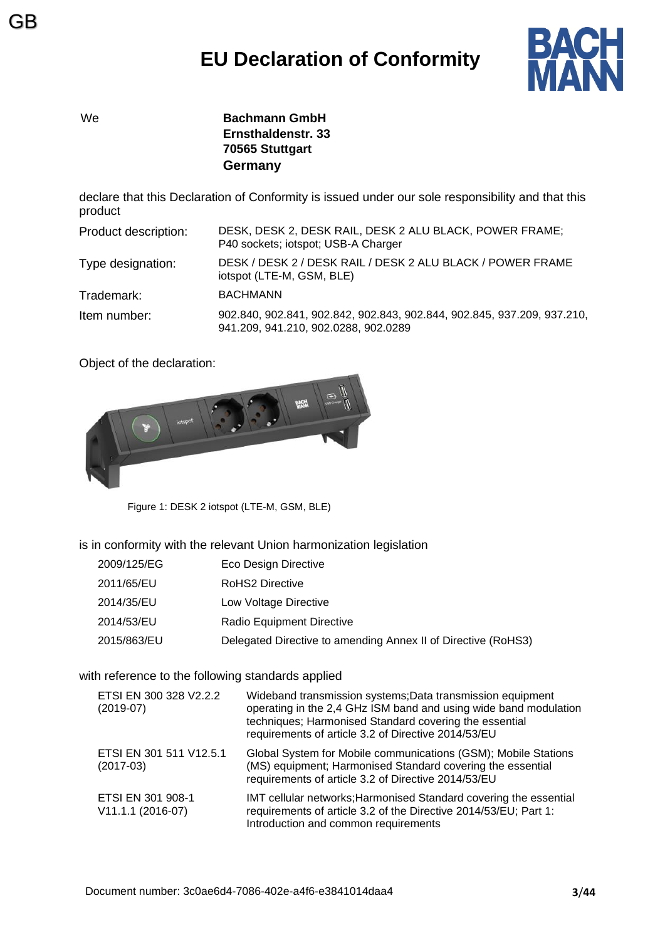

GB

We **Bachmann GmbH Ernsthaldenstr. 33 70565 Stuttgart Germany**

declare that this Declaration of Conformity is issued under our sole responsibility and that this product

| Product description: | DESK, DESK 2, DESK RAIL, DESK 2 ALU BLACK, POWER FRAME;<br>P40 sockets; iotspot; USB-A Charger                  |
|----------------------|-----------------------------------------------------------------------------------------------------------------|
| Type designation:    | DESK / DESK 2 / DESK RAIL / DESK 2 ALU BLACK / POWER FRAME<br>iotspot (LTE-M, GSM, BLE)                         |
| Trademark:           | <b>BACHMANN</b>                                                                                                 |
| Item number:         | 902.840, 902.841, 902.842, 902.843, 902.844, 902.845, 937.209, 937.210,<br>941.209, 941.210, 902.0288, 902.0289 |

Object of the declaration:



Figure 1: DESK 2 iotspot (LTE-M, GSM, BLE)

is in conformity with the relevant Union harmonization legislation

- 2009/125/EG Eco Design Directive
- 2011/65/EU RoHS2 Directive
- 2014/35/EU Low Voltage Directive
- 2014/53/EU Radio Equipment Directive
- 2015/863/EU Delegated Directive to amending Annex II of Directive (RoHS3)

#### with reference to the following standards applied

| ETSI EN 300 328 V2.2.2<br>$(2019-07)$    | Wideband transmission systems; Data transmission equipment<br>operating in the 2,4 GHz ISM band and using wide band modulation<br>techniques; Harmonised Standard covering the essential<br>requirements of article 3.2 of Directive 2014/53/EU |
|------------------------------------------|-------------------------------------------------------------------------------------------------------------------------------------------------------------------------------------------------------------------------------------------------|
| ETSI EN 301 511 V12.5.1<br>$(2017-03)$   | Global System for Mobile communications (GSM); Mobile Stations<br>(MS) equipment; Harmonised Standard covering the essential<br>requirements of article 3.2 of Directive 2014/53/EU                                                             |
| ETSI EN 301 908-1<br>$V11.1.1 (2016-07)$ | IMT cellular networks; Harmonised Standard covering the essential<br>requirements of article 3.2 of the Directive 2014/53/EU; Part 1:<br>Introduction and common requirements                                                                   |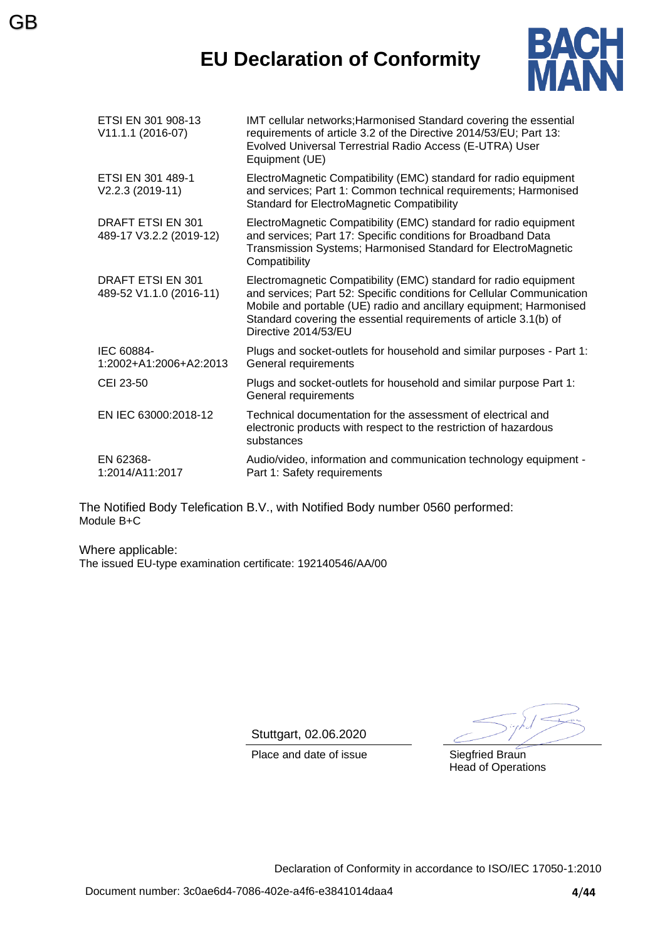### **EU Declaration of Conformity**



| ETSI EN 301 908-13<br>V11.1.1 (2016-07)             | IMT cellular networks; Harmonised Standard covering the essential<br>requirements of article 3.2 of the Directive 2014/53/EU; Part 13:<br>Evolved Universal Terrestrial Radio Access (E-UTRA) User<br>Equipment (UE)                                                                                         |
|-----------------------------------------------------|--------------------------------------------------------------------------------------------------------------------------------------------------------------------------------------------------------------------------------------------------------------------------------------------------------------|
| ETSI EN 301 489-1<br>V2.2.3 (2019-11)               | ElectroMagnetic Compatibility (EMC) standard for radio equipment<br>and services; Part 1: Common technical requirements; Harmonised<br><b>Standard for ElectroMagnetic Compatibility</b>                                                                                                                     |
| <b>DRAFT ETSI EN 301</b><br>489-17 V3.2.2 (2019-12) | ElectroMagnetic Compatibility (EMC) standard for radio equipment<br>and services; Part 17: Specific conditions for Broadband Data<br>Transmission Systems; Harmonised Standard for ElectroMagnetic<br>Compatibility                                                                                          |
| DRAFT ETSI EN 301<br>489-52 V1.1.0 (2016-11)        | Electromagnetic Compatibility (EMC) standard for radio equipment<br>and services; Part 52: Specific conditions for Cellular Communication<br>Mobile and portable (UE) radio and ancillary equipment; Harmonised<br>Standard covering the essential requirements of article 3.1(b) of<br>Directive 2014/53/EU |
| IEC 60884-<br>1:2002+A1:2006+A2:2013                | Plugs and socket-outlets for household and similar purposes - Part 1:<br>General requirements                                                                                                                                                                                                                |
| CEI 23-50                                           | Plugs and socket-outlets for household and similar purpose Part 1:<br>General requirements                                                                                                                                                                                                                   |
| EN IEC 63000:2018-12                                | Technical documentation for the assessment of electrical and<br>electronic products with respect to the restriction of hazardous<br>substances                                                                                                                                                               |
| EN 62368-<br>1:2014/A11:2017                        | Audio/video, information and communication technology equipment -<br>Part 1: Safety requirements                                                                                                                                                                                                             |

The Notified Body Telefication B.V., with Notified Body number 0560 performed: Module B+C

Where applicable: The issued EU-type examination certificate: 192140546/AA/00

GB

Stuttgart, 02.06.2020

Place and date of issue Siegfried Braun

Head of Operations

Declaration of Conformity in accordance to ISO/IEC 17050-1:2010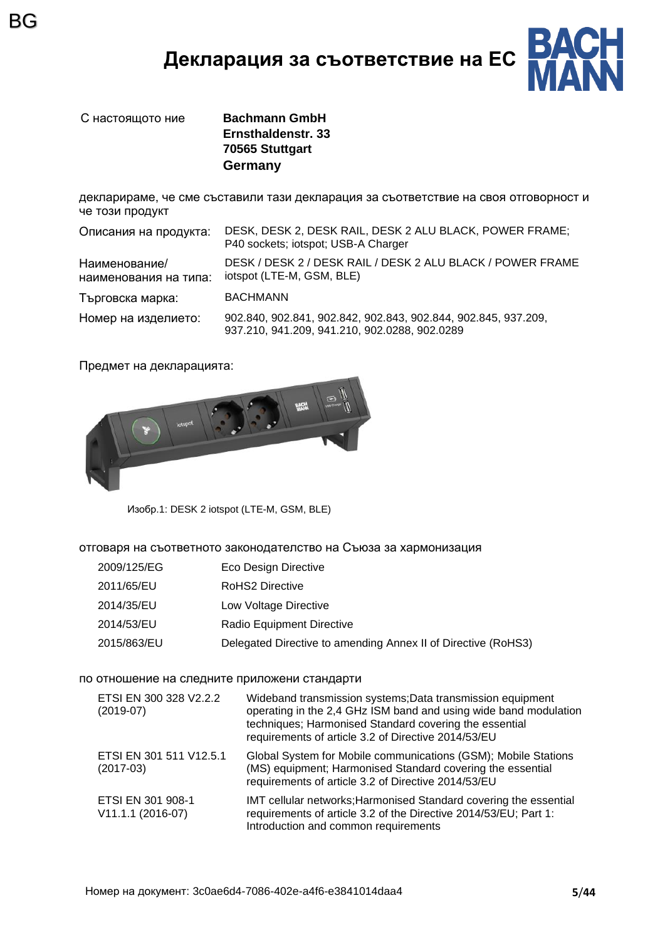### **Декларация за съответствие на ЕС**



BG

С настоящото ние **Bachmann GmbH Ernsthaldenstr. 33 70565 Stuttgart Germany**

декларираме, че сме съставили тази декларация за съответствие на своя отговорност и че този продукт

| Описания на продукта:                  | DESK, DESK 2, DESK RAIL, DESK 2 ALU BLACK, POWER FRAME;<br>P40 sockets; iotspot; USB-A Charger                  |
|----------------------------------------|-----------------------------------------------------------------------------------------------------------------|
| Наименование/<br>наименования на типа: | DESK / DESK 2 / DESK RAIL / DESK 2 ALU BLACK / POWER FRAME<br>iotspot (LTE-M, GSM, BLE)                         |
| Търговска марка:                       | <b>BACHMANN</b>                                                                                                 |
| Номер на изделието:                    | 902.840, 902.841, 902.842, 902.843, 902.844, 902.845, 937.209,<br>937.210, 941.209, 941.210, 902.0288, 902.0289 |

Предмет на декларацията:



Изобр.1: DESK 2 iotspot (LTE-M, GSM, BLE)

отговаря на съответното законодателство на Съюза за хармонизация

- 2009/125/EG Eco Design Directive
- 2011/65/EU RoHS2 Directive
- 2014/35/EU Low Voltage Directive
- 2014/53/EU Radio Equipment Directive
- 2015/863/EU Delegated Directive to amending Annex II of Directive (RoHS3)

#### по отношение на следните приложени стандарти

| ETSI EN 300 328 V2.2.2<br>$(2019-07)$  | Wideband transmission systems; Data transmission equipment<br>operating in the 2,4 GHz ISM band and using wide band modulation<br>techniques; Harmonised Standard covering the essential<br>requirements of article 3.2 of Directive 2014/53/EU |
|----------------------------------------|-------------------------------------------------------------------------------------------------------------------------------------------------------------------------------------------------------------------------------------------------|
| ETSI EN 301 511 V12.5.1<br>$(2017-03)$ | Global System for Mobile communications (GSM); Mobile Stations<br>(MS) equipment; Harmonised Standard covering the essential<br>requirements of article 3.2 of Directive 2014/53/EU                                                             |
| ETSI EN 301 908-1<br>V11.1.1 (2016-07) | IMT cellular networks; Harmonised Standard covering the essential<br>requirements of article 3.2 of the Directive 2014/53/EU; Part 1:<br>Introduction and common requirements                                                                   |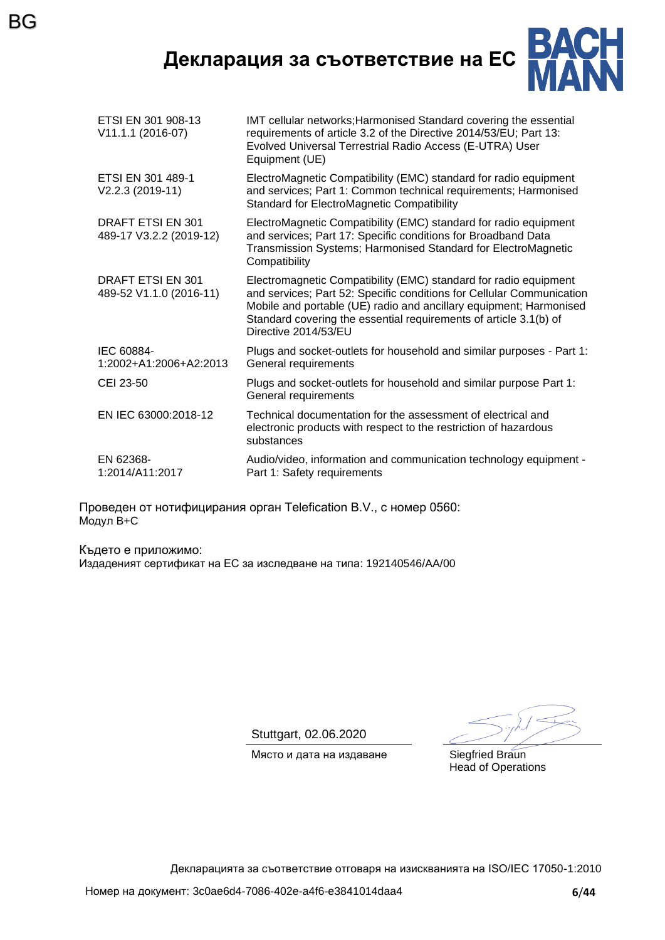**Декларация за съответствие на ЕС**

BG



| ETSI EN 301 908-13<br>V11.1.1 (2016-07)      | IMT cellular networks; Harmonised Standard covering the essential<br>requirements of article 3.2 of the Directive 2014/53/EU; Part 13:<br>Evolved Universal Terrestrial Radio Access (E-UTRA) User<br>Equipment (UE)                                                                                         |
|----------------------------------------------|--------------------------------------------------------------------------------------------------------------------------------------------------------------------------------------------------------------------------------------------------------------------------------------------------------------|
| ETSI EN 301 489-1<br>V2.2.3 (2019-11)        | ElectroMagnetic Compatibility (EMC) standard for radio equipment<br>and services; Part 1: Common technical requirements; Harmonised<br><b>Standard for ElectroMagnetic Compatibility</b>                                                                                                                     |
| DRAFT ETSI EN 301<br>489-17 V3.2.2 (2019-12) | ElectroMagnetic Compatibility (EMC) standard for radio equipment<br>and services; Part 17: Specific conditions for Broadband Data<br>Transmission Systems; Harmonised Standard for ElectroMagnetic<br>Compatibility                                                                                          |
| DRAFT ETSI EN 301<br>489-52 V1.1.0 (2016-11) | Electromagnetic Compatibility (EMC) standard for radio equipment<br>and services; Part 52: Specific conditions for Cellular Communication<br>Mobile and portable (UE) radio and ancillary equipment; Harmonised<br>Standard covering the essential requirements of article 3.1(b) of<br>Directive 2014/53/EU |
| IEC 60884-<br>1:2002+A1:2006+A2:2013         | Plugs and socket-outlets for household and similar purposes - Part 1:<br>General requirements                                                                                                                                                                                                                |
| CEI 23-50                                    | Plugs and socket-outlets for household and similar purpose Part 1:<br>General requirements                                                                                                                                                                                                                   |
| EN IEC 63000:2018-12                         | Technical documentation for the assessment of electrical and<br>electronic products with respect to the restriction of hazardous<br>substances                                                                                                                                                               |
| EN 62368-<br>1:2014/A11:2017                 | Audio/video, information and communication technology equipment -<br>Part 1: Safety requirements                                                                                                                                                                                                             |
|                                              |                                                                                                                                                                                                                                                                                                              |

Проведен от нотифицирания орган Telefication B.V., с номер 0560: Модул B+C

Където е приложимо: Издаденият сертификат на ЕС за изследване на типа: 192140546/AA/00

Stuttgart, 02.06.2020

Място и дата на издаване Siegfried Braun

Head of Operations

Декларацията за съответствие отговаря на изискванията на ISO/IEC 17050-1:2010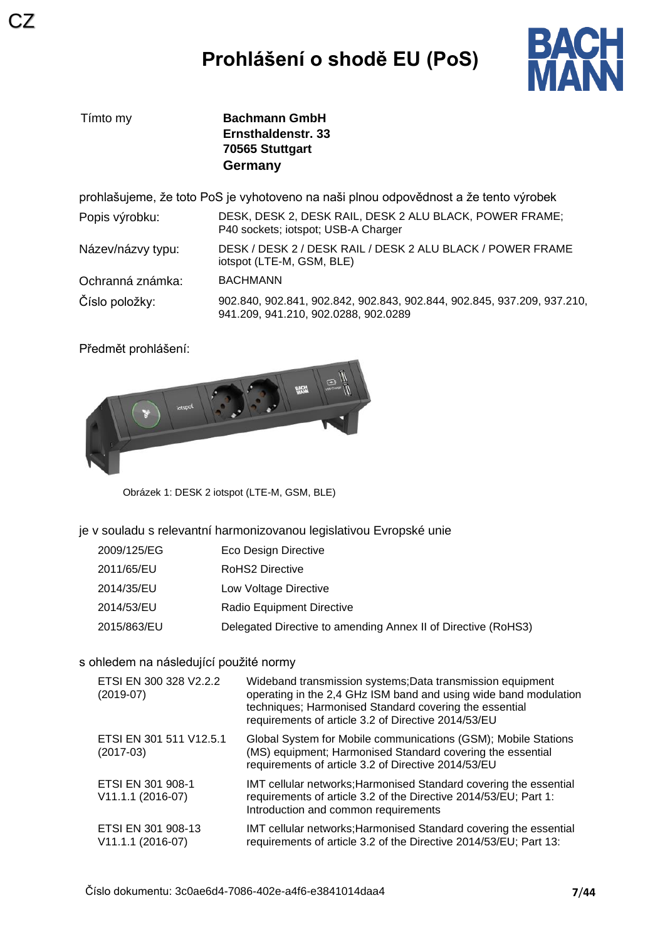

| Tímto my          | <b>Bachmann GmbH</b><br>Ernsthaldenstr, 33<br>70565 Stuttgart<br>Germany                                        |
|-------------------|-----------------------------------------------------------------------------------------------------------------|
|                   | prohlašujeme, že toto PoS je vyhotoveno na naši plnou odpovědnost a že tento výrobek                            |
| Popis výrobku:    | DESK, DESK 2, DESK RAIL, DESK 2 ALU BLACK, POWER FRAME;<br>P40 sockets; iotspot; USB-A Charger                  |
| Název/názvy typu: | DESK / DESK 2 / DESK RAIL / DESK 2 ALU BLACK / POWER FRAME<br>iotspot (LTE-M, GSM, BLE)                         |
| Ochranná známka:  | <b>BACHMANN</b>                                                                                                 |
| Číslo položky:    | 902.840, 902.841, 902.842, 902.843, 902.844, 902.845, 937.209, 937.210,<br>941.209, 941.210, 902.0288, 902.0289 |

Předmět prohlášení:



Obrázek 1: DESK 2 iotspot (LTE-M, GSM, BLE)

je v souladu s relevantní harmonizovanou legislativou Evropské unie

| 2009/125/EG | Eco Design Directive                                          |
|-------------|---------------------------------------------------------------|
| 2011/65/EU  | RoHS2 Directive                                               |
| 2014/35/EU  | Low Voltage Directive                                         |
| 2014/53/EU  | Radio Equipment Directive                                     |
| 2015/863/EU | Delegated Directive to amending Annex II of Directive (RoHS3) |

#### s ohledem na následující použité normy

| ETSI EN 300 328 V2.2.2<br>$(2019-07)$     | Wideband transmission systems; Data transmission equipment<br>operating in the 2,4 GHz ISM band and using wide band modulation<br>techniques; Harmonised Standard covering the essential<br>requirements of article 3.2 of Directive 2014/53/EU |
|-------------------------------------------|-------------------------------------------------------------------------------------------------------------------------------------------------------------------------------------------------------------------------------------------------|
| ETSI EN 301 511 V12.5.1<br>$(2017-03)$    | Global System for Mobile communications (GSM); Mobile Stations<br>(MS) equipment; Harmonised Standard covering the essential<br>requirements of article 3.2 of Directive 2014/53/EU                                                             |
| ETSI EN 301 908-1<br>V11.1.1 (2016-07)    | IMT cellular networks; Harmonised Standard covering the essential<br>requirements of article 3.2 of the Directive 2014/53/EU; Part 1:<br>Introduction and common requirements                                                                   |
| ETSI EN 301 908-13<br>$V11.1.1 (2016-07)$ | IMT cellular networks; Harmonised Standard covering the essential<br>requirements of article 3.2 of the Directive 2014/53/EU; Part 13:                                                                                                          |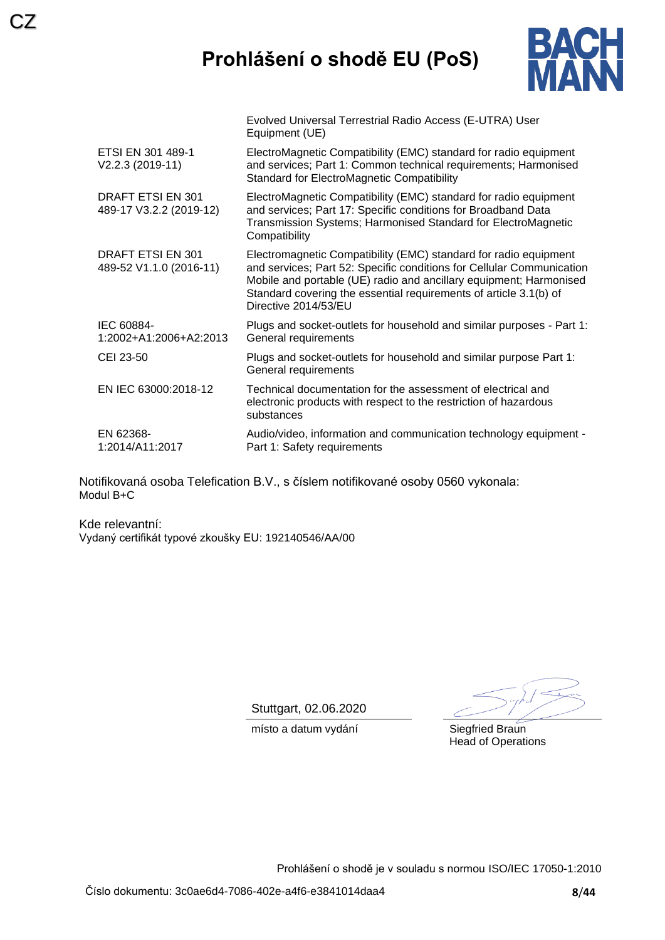## **Prohlášení o shodě EU (PoS)**

Evolved Universal Terrestrial Radio Access (E-UTRA) User



|                                              | Equipment (UE)                                                                                                                                                                                                                                                                                               |
|----------------------------------------------|--------------------------------------------------------------------------------------------------------------------------------------------------------------------------------------------------------------------------------------------------------------------------------------------------------------|
| ETSI EN 301 489-1<br>V2.2.3 (2019-11)        | ElectroMagnetic Compatibility (EMC) standard for radio equipment<br>and services; Part 1: Common technical requirements; Harmonised<br><b>Standard for ElectroMagnetic Compatibility</b>                                                                                                                     |
| DRAFT ETSI EN 301<br>489-17 V3.2.2 (2019-12) | ElectroMagnetic Compatibility (EMC) standard for radio equipment<br>and services; Part 17: Specific conditions for Broadband Data<br>Transmission Systems; Harmonised Standard for ElectroMagnetic<br>Compatibility                                                                                          |
| DRAFT ETSI EN 301<br>489-52 V1.1.0 (2016-11) | Electromagnetic Compatibility (EMC) standard for radio equipment<br>and services; Part 52: Specific conditions for Cellular Communication<br>Mobile and portable (UE) radio and ancillary equipment; Harmonised<br>Standard covering the essential requirements of article 3.1(b) of<br>Directive 2014/53/EU |
| IEC 60884-<br>1:2002+A1:2006+A2:2013         | Plugs and socket-outlets for household and similar purposes - Part 1:<br>General requirements                                                                                                                                                                                                                |
| CEI 23-50                                    | Plugs and socket-outlets for household and similar purpose Part 1:<br>General requirements                                                                                                                                                                                                                   |
| EN IEC 63000:2018-12                         | Technical documentation for the assessment of electrical and<br>electronic products with respect to the restriction of hazardous<br>substances                                                                                                                                                               |
| EN 62368-<br>1:2014/A11:2017                 | Audio/video, information and communication technology equipment -<br>Part 1: Safety requirements                                                                                                                                                                                                             |
|                                              |                                                                                                                                                                                                                                                                                                              |

Notifikovaná osoba Telefication B.V., s číslem notifikované osoby 0560 vykonala: Modul B+C

Kde relevantní: Vydaný certifikát typové zkoušky EU: 192140546/AA/00

CZ

Stuttgart, 02.06.2020

místo a datum vydání **Siegfried Braun** 

Head of Operations

Prohlášení o shodě je v souladu s normou ISO/IEC 17050-1:2010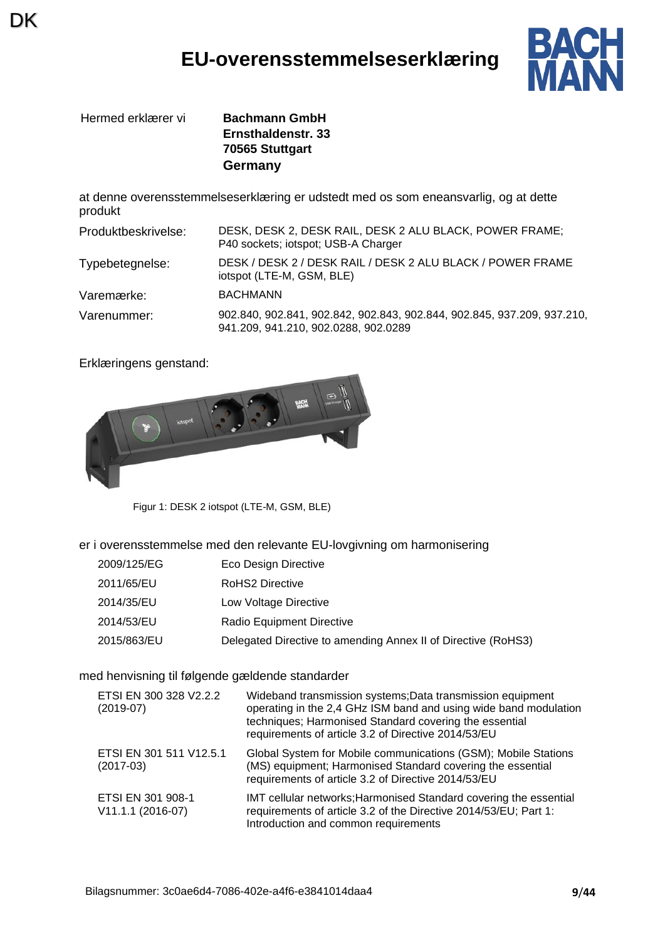### **EU-overensstemmelseserklæring**



Hermed erklærer vi **Bachmann GmbH**

DK

**Ernsthaldenstr. 33 70565 Stuttgart Germany**

at denne overensstemmelseserklæring er udstedt med os som eneansvarlig, og at dette produkt

| Produktbeskrivelse: | DESK, DESK 2, DESK RAIL, DESK 2 ALU BLACK, POWER FRAME;<br>P40 sockets; iotspot; USB-A Charger                  |
|---------------------|-----------------------------------------------------------------------------------------------------------------|
| Typebetegnelse:     | DESK / DESK 2 / DESK RAIL / DESK 2 ALU BLACK / POWER FRAME<br>iotspot (LTE-M, GSM, BLE)                         |
| Varemærke:          | <b>BACHMANN</b>                                                                                                 |
| Varenummer:         | 902.840, 902.841, 902.842, 902.843, 902.844, 902.845, 937.209, 937.210,<br>941.209, 941.210, 902.0288, 902.0289 |

Erklæringens genstand:



Figur 1: DESK 2 iotspot (LTE-M, GSM, BLE)

er i overensstemmelse med den relevante EU-lovgivning om harmonisering

- 2009/125/EG Eco Design Directive
- 2011/65/EU RoHS2 Directive
- 2014/35/EU Low Voltage Directive
- 2014/53/EU Radio Equipment Directive
- 2015/863/EU Delegated Directive to amending Annex II of Directive (RoHS3)

#### med henvisning til følgende gældende standarder

| ETSI EN 300 328 V2.2.2<br>$(2019-07)$  | Wideband transmission systems; Data transmission equipment<br>operating in the 2,4 GHz ISM band and using wide band modulation<br>techniques; Harmonised Standard covering the essential<br>requirements of article 3.2 of Directive 2014/53/EU |
|----------------------------------------|-------------------------------------------------------------------------------------------------------------------------------------------------------------------------------------------------------------------------------------------------|
| ETSI EN 301 511 V12.5.1<br>$(2017-03)$ | Global System for Mobile communications (GSM); Mobile Stations<br>(MS) equipment; Harmonised Standard covering the essential<br>requirements of article 3.2 of Directive 2014/53/EU                                                             |
| ETSI EN 301 908-1<br>V11.1.1 (2016-07) | IMT cellular networks; Harmonised Standard covering the essential<br>requirements of article 3.2 of the Directive 2014/53/EU; Part 1:<br>Introduction and common requirements                                                                   |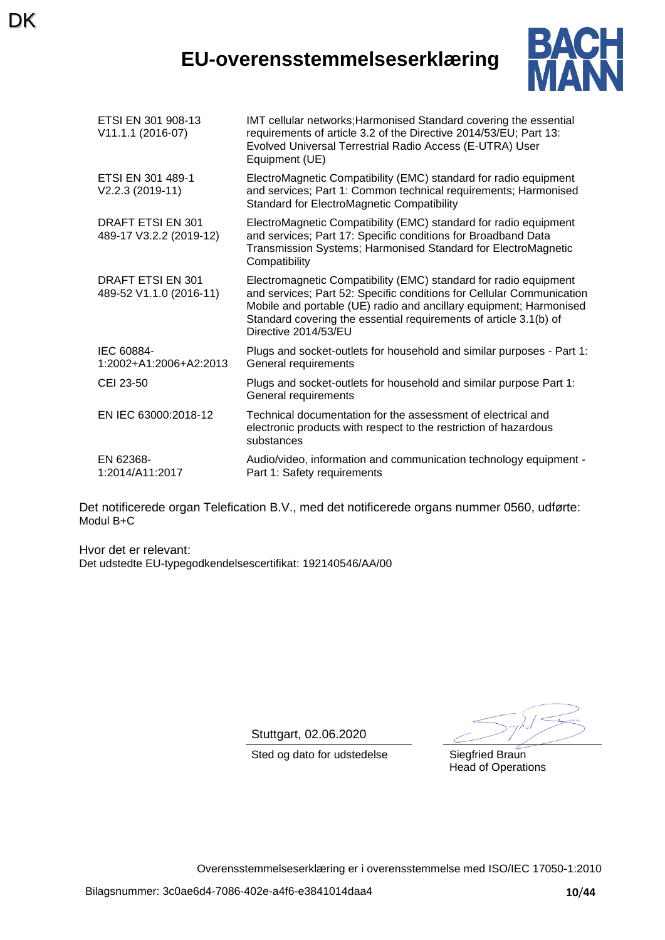## **EU-overensstemmelseserklæring**



| ETSI EN 301 908-13<br>V11.1.1 (2016-07)      | IMT cellular networks; Harmonised Standard covering the essential<br>requirements of article 3.2 of the Directive 2014/53/EU; Part 13:<br>Evolved Universal Terrestrial Radio Access (E-UTRA) User<br>Equipment (UE)                                                                                         |
|----------------------------------------------|--------------------------------------------------------------------------------------------------------------------------------------------------------------------------------------------------------------------------------------------------------------------------------------------------------------|
| ETSI EN 301 489-1<br>V2.2.3 (2019-11)        | ElectroMagnetic Compatibility (EMC) standard for radio equipment<br>and services; Part 1: Common technical requirements; Harmonised<br><b>Standard for ElectroMagnetic Compatibility</b>                                                                                                                     |
| DRAFT ETSI EN 301<br>489-17 V3.2.2 (2019-12) | ElectroMagnetic Compatibility (EMC) standard for radio equipment<br>and services; Part 17: Specific conditions for Broadband Data<br>Transmission Systems; Harmonised Standard for ElectroMagnetic<br>Compatibility                                                                                          |
| DRAFT ETSI EN 301<br>489-52 V1.1.0 (2016-11) | Electromagnetic Compatibility (EMC) standard for radio equipment<br>and services; Part 52: Specific conditions for Cellular Communication<br>Mobile and portable (UE) radio and ancillary equipment; Harmonised<br>Standard covering the essential requirements of article 3.1(b) of<br>Directive 2014/53/EU |
| IEC 60884-<br>1:2002+A1:2006+A2:2013         | Plugs and socket-outlets for household and similar purposes - Part 1:<br>General requirements                                                                                                                                                                                                                |
| CEI 23-50                                    | Plugs and socket-outlets for household and similar purpose Part 1:<br>General requirements                                                                                                                                                                                                                   |
| EN IEC 63000:2018-12                         | Technical documentation for the assessment of electrical and<br>electronic products with respect to the restriction of hazardous<br>substances                                                                                                                                                               |
| EN 62368-<br>1:2014/A11:2017                 | Audio/video, information and communication technology equipment -<br>Part 1: Safety requirements                                                                                                                                                                                                             |

Det notificerede organ Telefication B.V., med det notificerede organs nummer 0560, udførte: Modul B+C

Hvor det er relevant: Det udstedte EU-typegodkendelsescertifikat: 192140546/AA/00

**DK** 

Stuttgart, 02.06.2020

Sted og dato for udstedelse Siegfried Braun

Head of Operations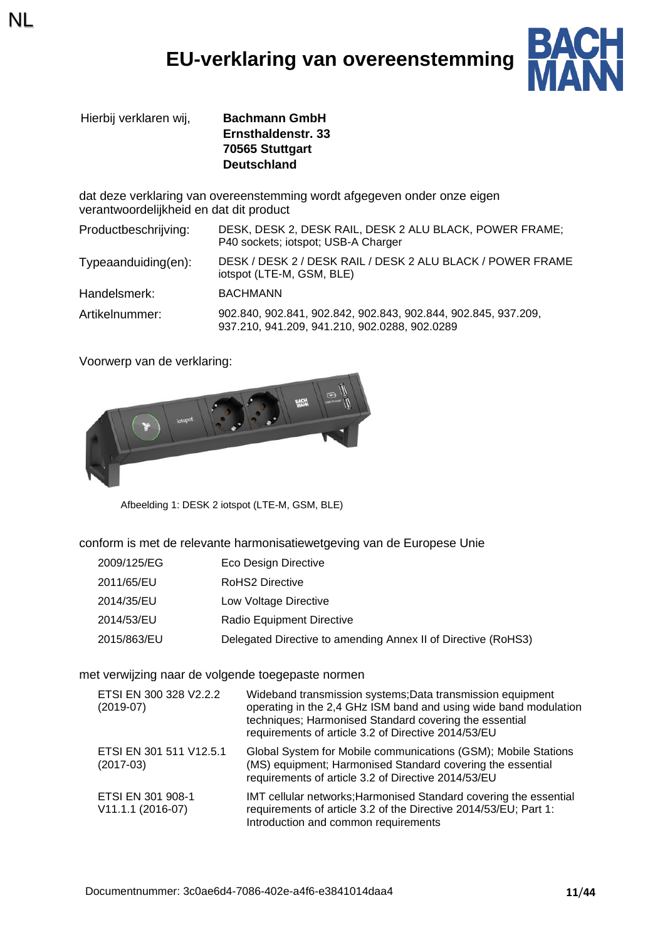## **EU-verklaring van overeenstemming**



Hierbij verklaren wij, **Bachmann GmbH Ernsthaldenstr. 33 70565 Stuttgart Deutschland**

dat deze verklaring van overeenstemming wordt afgegeven onder onze eigen verantwoordelijkheid en dat dit product

| Productbeschrijving:    | DESK, DESK 2, DESK RAIL, DESK 2 ALU BLACK, POWER FRAME;<br>P40 sockets; iotspot; USB-A Charger                  |
|-------------------------|-----------------------------------------------------------------------------------------------------------------|
| $Typea anduiding(en)$ : | DESK / DESK 2 / DESK RAIL / DESK 2 ALU BLACK / POWER FRAME<br>iotspot (LTE-M, GSM, BLE)                         |
| Handelsmerk:            | <b>BACHMANN</b>                                                                                                 |
| Artikelnummer:          | 902.840, 902.841, 902.842, 902.843, 902.844, 902.845, 937.209,<br>937.210, 941.209, 941.210, 902.0288, 902.0289 |

Voorwerp van de verklaring:

NL



Afbeelding 1: DESK 2 iotspot (LTE-M, GSM, BLE)

conform is met de relevante harmonisatiewetgeving van de Europese Unie

- 2009/125/EG Eco Design Directive
- 2011/65/EU RoHS2 Directive
- 2014/35/EU Low Voltage Directive
- 2014/53/EU Radio Equipment Directive
- 2015/863/EU Delegated Directive to amending Annex II of Directive (RoHS3)

#### met verwijzing naar de volgende toegepaste normen

| ETSI EN 300 328 V2.2.2<br>$(2019-07)$    | Wideband transmission systems; Data transmission equipment<br>operating in the 2,4 GHz ISM band and using wide band modulation<br>techniques; Harmonised Standard covering the essential<br>requirements of article 3.2 of Directive 2014/53/EU |
|------------------------------------------|-------------------------------------------------------------------------------------------------------------------------------------------------------------------------------------------------------------------------------------------------|
| ETSI EN 301 511 V12.5.1<br>$(2017-03)$   | Global System for Mobile communications (GSM); Mobile Stations<br>(MS) equipment; Harmonised Standard covering the essential<br>requirements of article 3.2 of Directive 2014/53/EU                                                             |
| ETSI EN 301 908-1<br>$V11.1.1 (2016-07)$ | IMT cellular networks; Harmonised Standard covering the essential<br>requirements of article 3.2 of the Directive 2014/53/EU; Part 1:<br>Introduction and common requirements                                                                   |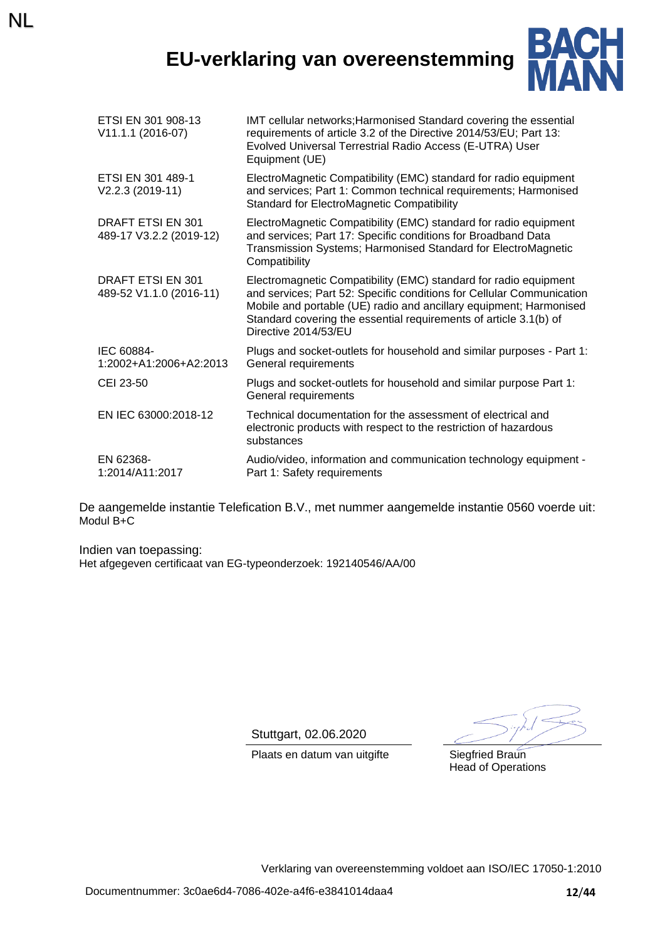## **EU-verklaring van overeenstemming**

NL



| ETSI EN 301 908-13<br>V11.1.1 (2016-07)      | IMT cellular networks; Harmonised Standard covering the essential<br>requirements of article 3.2 of the Directive 2014/53/EU; Part 13:<br>Evolved Universal Terrestrial Radio Access (E-UTRA) User<br>Equipment (UE)                                                                                         |
|----------------------------------------------|--------------------------------------------------------------------------------------------------------------------------------------------------------------------------------------------------------------------------------------------------------------------------------------------------------------|
| ETSI EN 301 489-1<br>V2.2.3 (2019-11)        | ElectroMagnetic Compatibility (EMC) standard for radio equipment<br>and services; Part 1: Common technical requirements; Harmonised<br><b>Standard for ElectroMagnetic Compatibility</b>                                                                                                                     |
| DRAFT ETSI EN 301<br>489-17 V3.2.2 (2019-12) | ElectroMagnetic Compatibility (EMC) standard for radio equipment<br>and services; Part 17: Specific conditions for Broadband Data<br>Transmission Systems; Harmonised Standard for ElectroMagnetic<br>Compatibility                                                                                          |
| DRAFT ETSI EN 301<br>489-52 V1.1.0 (2016-11) | Electromagnetic Compatibility (EMC) standard for radio equipment<br>and services; Part 52: Specific conditions for Cellular Communication<br>Mobile and portable (UE) radio and ancillary equipment; Harmonised<br>Standard covering the essential requirements of article 3.1(b) of<br>Directive 2014/53/EU |
| IEC 60884-<br>1:2002+A1:2006+A2:2013         | Plugs and socket-outlets for household and similar purposes - Part 1:<br>General requirements                                                                                                                                                                                                                |
| CEI 23-50                                    | Plugs and socket-outlets for household and similar purpose Part 1:<br>General requirements                                                                                                                                                                                                                   |
| EN IEC 63000:2018-12                         | Technical documentation for the assessment of electrical and<br>electronic products with respect to the restriction of hazardous<br>substances                                                                                                                                                               |
| EN 62368-<br>1:2014/A11:2017                 | Audio/video, information and communication technology equipment -<br>Part 1: Safety requirements                                                                                                                                                                                                             |

De aangemelde instantie Telefication B.V., met nummer aangemelde instantie 0560 voerde uit: Modul B+C

Indien van toepassing: Het afgegeven certificaat van EG-typeonderzoek: 192140546/AA/00

Stuttgart, 02.06.2020

Plaats en datum van uitgifte Siegfried Braun

Head of Operations

Verklaring van overeenstemming voldoet aan ISO/IEC 17050-1:2010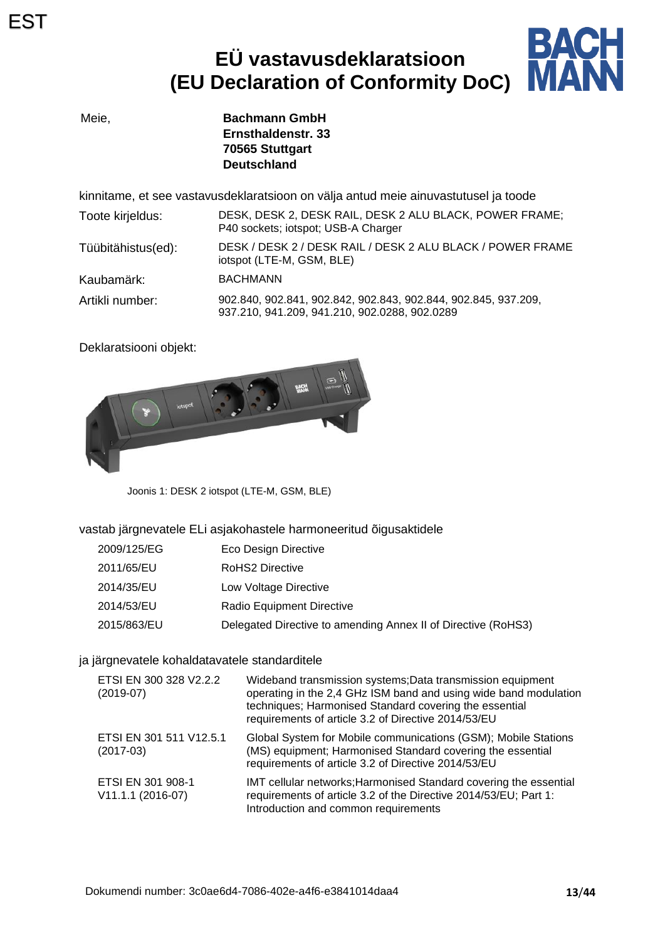# **EÜ vastavusdeklaratsioon (EU Declaration of Conformity DoC)**



Meie, **Bachmann GmbH Ernsthaldenstr. 33 70565 Stuttgart Deutschland**

kinnitame, et see vastavusdeklaratsioon on välja antud meie ainuvastutusel ja toode

| Toote kirjeldus:   | DESK, DESK 2, DESK RAIL, DESK 2 ALU BLACK, POWER FRAME;<br>P40 sockets; iotspot; USB-A Charger                  |
|--------------------|-----------------------------------------------------------------------------------------------------------------|
| Tüübitähistus(ed): | DESK / DESK 2 / DESK RAIL / DESK 2 ALU BLACK / POWER FRAME<br>iotspot (LTE-M, GSM, BLE)                         |
| Kaubamärk:         | <b>BACHMANN</b>                                                                                                 |
| Artikli number:    | 902.840, 902.841, 902.842, 902.843, 902.844, 902.845, 937.209,<br>937.210, 941.209, 941.210, 902.0288, 902.0289 |

Deklaratsiooni objekt:



Joonis 1: DESK 2 iotspot (LTE-M, GSM, BLE)

vastab järgnevatele ELi asjakohastele harmoneeritud õigusaktidele

| 2009/125/EG | Eco Design Directive                                          |
|-------------|---------------------------------------------------------------|
| 2011/65/EU  | <b>RoHS2 Directive</b>                                        |
| 2014/35/EU  | Low Voltage Directive                                         |
| 2014/53/EU  | Radio Equipment Directive                                     |
| 2015/863/EU | Delegated Directive to amending Annex II of Directive (RoHS3) |

#### ja järgnevatele kohaldatavatele standarditele

| ETSI EN 300 328 V2.2.2<br>$(2019-07)$    | Wideband transmission systems; Data transmission equipment<br>operating in the 2,4 GHz ISM band and using wide band modulation<br>techniques; Harmonised Standard covering the essential<br>requirements of article 3.2 of Directive 2014/53/EU |
|------------------------------------------|-------------------------------------------------------------------------------------------------------------------------------------------------------------------------------------------------------------------------------------------------|
| ETSI EN 301 511 V12.5.1<br>$(2017-03)$   | Global System for Mobile communications (GSM); Mobile Stations<br>(MS) equipment; Harmonised Standard covering the essential<br>requirements of article 3.2 of Directive 2014/53/EU                                                             |
| ETSI EN 301 908-1<br>$V11.1.1 (2016-07)$ | IMT cellular networks; Harmonised Standard covering the essential<br>requirements of article 3.2 of the Directive 2014/53/EU; Part 1:<br>Introduction and common requirements                                                                   |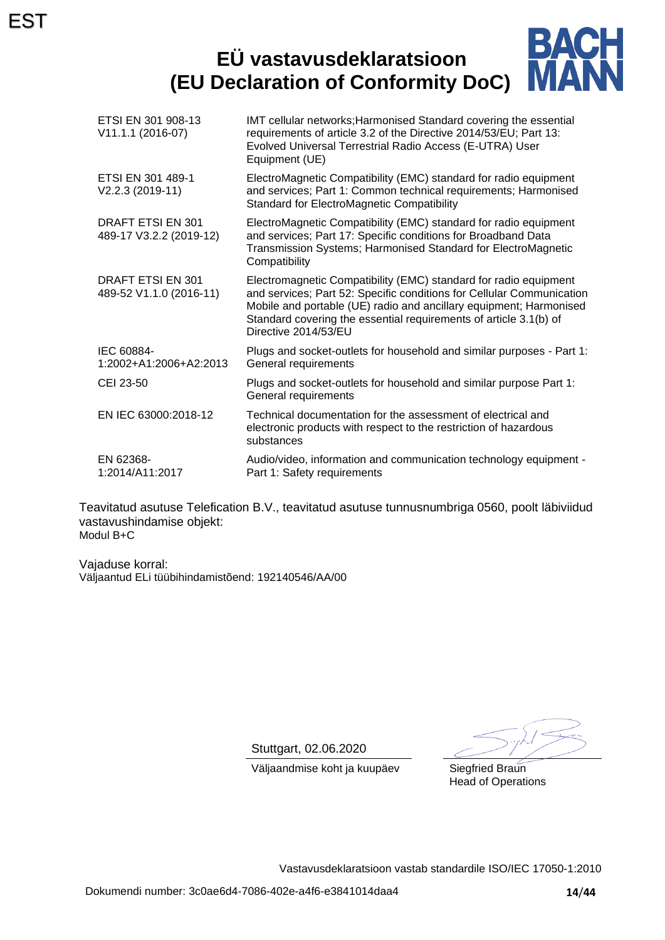### **BACH<br>MANN EÜ vastavusdeklaratsioon (EU Declaration of Conformity DoC)**

| ETSI EN 301 908-13<br>V11.1.1 (2016-07)             | IMT cellular networks; Harmonised Standard covering the essential<br>requirements of article 3.2 of the Directive 2014/53/EU; Part 13:<br>Evolved Universal Terrestrial Radio Access (E-UTRA) User<br>Equipment (UE)                                                                                         |
|-----------------------------------------------------|--------------------------------------------------------------------------------------------------------------------------------------------------------------------------------------------------------------------------------------------------------------------------------------------------------------|
| ETSI EN 301 489-1<br>V2.2.3 (2019-11)               | ElectroMagnetic Compatibility (EMC) standard for radio equipment<br>and services; Part 1: Common technical requirements; Harmonised<br>Standard for ElectroMagnetic Compatibility                                                                                                                            |
| DRAFT ETSI EN 301<br>489-17 V3.2.2 (2019-12)        | ElectroMagnetic Compatibility (EMC) standard for radio equipment<br>and services; Part 17: Specific conditions for Broadband Data<br>Transmission Systems; Harmonised Standard for ElectroMagnetic<br>Compatibility                                                                                          |
| <b>DRAFT ETSI EN 301</b><br>489-52 V1.1.0 (2016-11) | Electromagnetic Compatibility (EMC) standard for radio equipment<br>and services; Part 52: Specific conditions for Cellular Communication<br>Mobile and portable (UE) radio and ancillary equipment; Harmonised<br>Standard covering the essential requirements of article 3.1(b) of<br>Directive 2014/53/EU |
| IEC 60884-<br>1:2002+A1:2006+A2:2013                | Plugs and socket-outlets for household and similar purposes - Part 1:<br>General requirements                                                                                                                                                                                                                |
| CEI 23-50                                           | Plugs and socket-outlets for household and similar purpose Part 1:<br>General requirements                                                                                                                                                                                                                   |
| EN IEC 63000:2018-12                                | Technical documentation for the assessment of electrical and<br>electronic products with respect to the restriction of hazardous<br>substances                                                                                                                                                               |
| EN 62368-<br>1:2014/A11:2017                        | Audio/video, information and communication technology equipment -<br>Part 1: Safety requirements                                                                                                                                                                                                             |

Teavitatud asutuse Telefication B.V., teavitatud asutuse tunnusnumbriga 0560, poolt läbiviidud vastavushindamise objekt: Modul B+C

Vajaduse korral: Väljaantud ELi tüübihindamistõend: 192140546/AA/00

Stuttgart, 02.06.2020

Head of Operations

Väljaandmise koht ja kuupäev Siegfried Braun

Vastavusdeklaratsioon vastab standardile ISO/IEC 17050-1:2010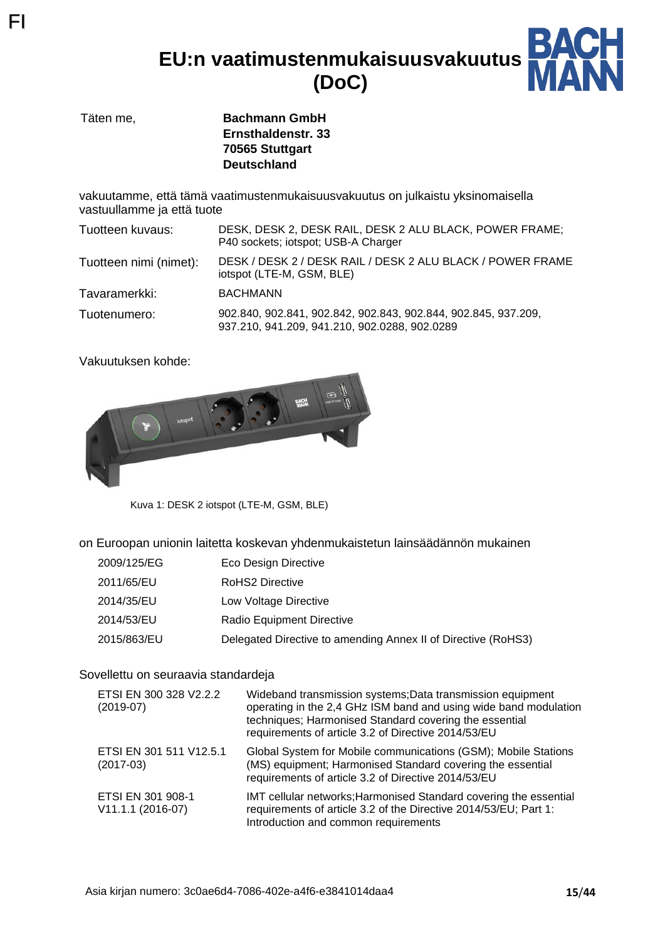**EU:n vaatimustenmukaisuusvakuutus (DoC)**



Täten me, **Bachmann GmbH Ernsthaldenstr. 33 70565 Stuttgart Deutschland**

vakuutamme, että tämä vaatimustenmukaisuusvakuutus on julkaistu yksinomaisella vastuullamme ja että tuote

| Tuotteen kuvaus:       | DESK, DESK 2, DESK RAIL, DESK 2 ALU BLACK, POWER FRAME;<br>P40 sockets; iotspot; USB-A Charger                  |
|------------------------|-----------------------------------------------------------------------------------------------------------------|
| Tuotteen nimi (nimet): | DESK / DESK 2 / DESK RAIL / DESK 2 ALU BLACK / POWER FRAME<br>iotspot (LTE-M, GSM, BLE)                         |
| Tavaramerkki:          | <b>BACHMANN</b>                                                                                                 |
| Tuotenumero:           | 902.840, 902.841, 902.842, 902.843, 902.844, 902.845, 937.209,<br>937.210, 941.209, 941.210, 902.0288, 902.0289 |

Vakuutuksen kohde:

FI



Kuva 1: DESK 2 iotspot (LTE-M, GSM, BLE)

on Euroopan unionin laitetta koskevan yhdenmukaistetun lainsäädännön mukainen

- 2009/125/EG Eco Design Directive
- 2011/65/EU RoHS2 Directive
- 2014/35/EU Low Voltage Directive
- 2014/53/EU Radio Equipment Directive
- 2015/863/EU Delegated Directive to amending Annex II of Directive (RoHS3)

#### Sovellettu on seuraavia standardeja

| ETSI EN 300 328 V2.2.2<br>$(2019-07)$  | Wideband transmission systems; Data transmission equipment<br>operating in the 2,4 GHz ISM band and using wide band modulation<br>techniques; Harmonised Standard covering the essential<br>requirements of article 3.2 of Directive 2014/53/EU |
|----------------------------------------|-------------------------------------------------------------------------------------------------------------------------------------------------------------------------------------------------------------------------------------------------|
| ETSI EN 301 511 V12.5.1<br>$(2017-03)$ | Global System for Mobile communications (GSM); Mobile Stations<br>(MS) equipment; Harmonised Standard covering the essential<br>requirements of article 3.2 of Directive 2014/53/EU                                                             |
| ETSI EN 301 908-1<br>V11.1.1 (2016-07) | IMT cellular networks; Harmonised Standard covering the essential<br>requirements of article 3.2 of the Directive 2014/53/EU; Part 1:<br>Introduction and common requirements                                                                   |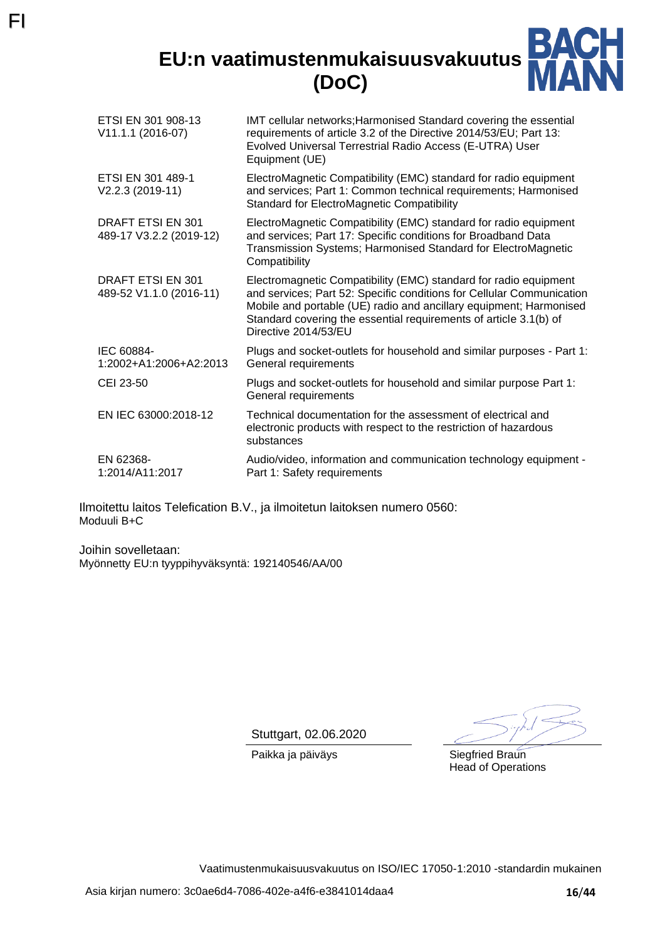**EU:n vaatimustenmukaisuusvakuutus (DoC)**



| ETSI EN 301 908-13<br>V11.1.1 (2016-07)      | IMT cellular networks; Harmonised Standard covering the essential<br>requirements of article 3.2 of the Directive 2014/53/EU; Part 13:<br>Evolved Universal Terrestrial Radio Access (E-UTRA) User<br>Equipment (UE)                                                                                         |
|----------------------------------------------|--------------------------------------------------------------------------------------------------------------------------------------------------------------------------------------------------------------------------------------------------------------------------------------------------------------|
| ETSI EN 301 489-1<br>V2.2.3 (2019-11)        | ElectroMagnetic Compatibility (EMC) standard for radio equipment<br>and services; Part 1: Common technical requirements; Harmonised<br><b>Standard for ElectroMagnetic Compatibility</b>                                                                                                                     |
| DRAFT ETSI EN 301<br>489-17 V3.2.2 (2019-12) | ElectroMagnetic Compatibility (EMC) standard for radio equipment<br>and services; Part 17: Specific conditions for Broadband Data<br>Transmission Systems; Harmonised Standard for ElectroMagnetic<br>Compatibility                                                                                          |
| DRAFT ETSI EN 301<br>489-52 V1.1.0 (2016-11) | Electromagnetic Compatibility (EMC) standard for radio equipment<br>and services; Part 52: Specific conditions for Cellular Communication<br>Mobile and portable (UE) radio and ancillary equipment; Harmonised<br>Standard covering the essential requirements of article 3.1(b) of<br>Directive 2014/53/EU |
| IEC 60884-<br>1:2002+A1:2006+A2:2013         | Plugs and socket-outlets for household and similar purposes - Part 1:<br>General requirements                                                                                                                                                                                                                |
| CEI 23-50                                    | Plugs and socket-outlets for household and similar purpose Part 1:<br>General requirements                                                                                                                                                                                                                   |
| EN IEC 63000:2018-12                         | Technical documentation for the assessment of electrical and<br>electronic products with respect to the restriction of hazardous<br>substances                                                                                                                                                               |
| EN 62368-<br>1:2014/A11:2017                 | Audio/video, information and communication technology equipment -<br>Part 1: Safety requirements                                                                                                                                                                                                             |

Ilmoitettu laitos Telefication B.V., ja ilmoitetun laitoksen numero 0560: Moduuli B+C

Joihin sovelletaan: Myönnetty EU:n tyyppihyväksyntä: 192140546/AA/00

FI

Stuttgart, 02.06.2020

Paikka ja päiväys Siegfried Braun

Head of Operations

Vaatimustenmukaisuusvakuutus on ISO/IEC 17050-1:2010 -standardin mukainen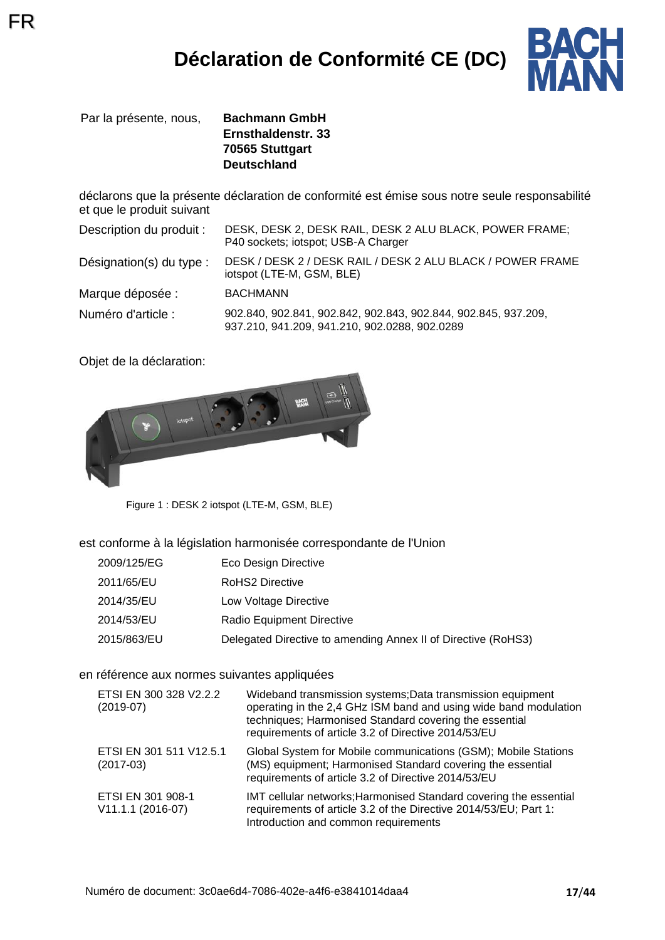

Par la présente, nous, **Bachmann GmbH Ernsthaldenstr. 33 70565 Stuttgart Deutschland**

déclarons que la présente déclaration de conformité est émise sous notre seule responsabilité et que le produit suivant

| Description du produit : | DESK, DESK 2, DESK RAIL, DESK 2 ALU BLACK, POWER FRAME;<br>P40 sockets; iotspot; USB-A Charger                  |
|--------------------------|-----------------------------------------------------------------------------------------------------------------|
| Désignation(s) du type : | DESK / DESK 2 / DESK RAIL / DESK 2 ALU BLACK / POWER FRAME<br>iotspot (LTE-M, GSM, BLE)                         |
| Marque déposée :         | <b>BACHMANN</b>                                                                                                 |
| Numéro d'article :       | 902.840, 902.841, 902.842, 902.843, 902.844, 902.845, 937.209,<br>937.210, 941.209, 941.210, 902.0288, 902.0289 |

Objet de la déclaration:



Figure 1 : DESK 2 iotspot (LTE-M, GSM, BLE)

est conforme à la législation harmonisée correspondante de l'Union

- 2009/125/EG Eco Design Directive
- 2011/65/EU RoHS2 Directive
- 2014/35/EU Low Voltage Directive
- 2014/53/EU Radio Equipment Directive
- 2015/863/EU Delegated Directive to amending Annex II of Directive (RoHS3)

#### en référence aux normes suivantes appliquées

| ETSI EN 300 328 V2.2.2<br>$(2019-07)$  | Wideband transmission systems; Data transmission equipment<br>operating in the 2,4 GHz ISM band and using wide band modulation<br>techniques; Harmonised Standard covering the essential<br>requirements of article 3.2 of Directive 2014/53/EU |
|----------------------------------------|-------------------------------------------------------------------------------------------------------------------------------------------------------------------------------------------------------------------------------------------------|
| ETSI EN 301 511 V12.5.1<br>$(2017-03)$ | Global System for Mobile communications (GSM); Mobile Stations<br>(MS) equipment; Harmonised Standard covering the essential<br>requirements of article 3.2 of Directive 2014/53/EU                                                             |
| ETSI EN 301 908-1<br>V11.1.1 (2016-07) | IMT cellular networks; Harmonised Standard covering the essential<br>requirements of article 3.2 of the Directive 2014/53/EU; Part 1:<br>Introduction and common requirements                                                                   |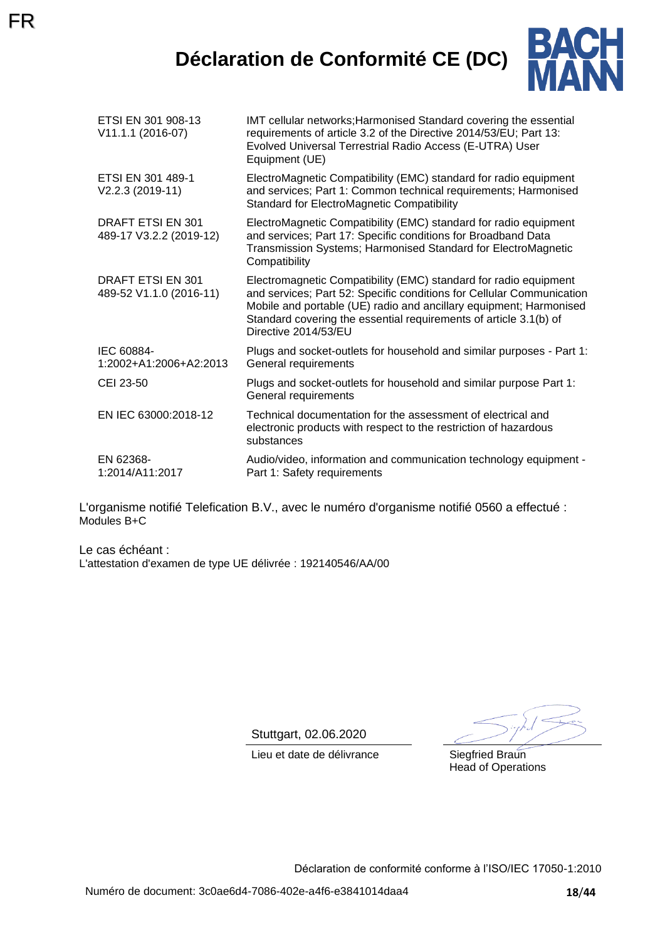## **Déclaration de Conformité CE (DC)**



| ETSI EN 301 908-13<br>V11.1.1 (2016-07)      | IMT cellular networks; Harmonised Standard covering the essential<br>requirements of article 3.2 of the Directive 2014/53/EU; Part 13:<br>Evolved Universal Terrestrial Radio Access (E-UTRA) User<br>Equipment (UE)                                                                                         |
|----------------------------------------------|--------------------------------------------------------------------------------------------------------------------------------------------------------------------------------------------------------------------------------------------------------------------------------------------------------------|
| ETSI EN 301 489-1<br>V2.2.3 (2019-11)        | ElectroMagnetic Compatibility (EMC) standard for radio equipment<br>and services; Part 1: Common technical requirements; Harmonised<br><b>Standard for ElectroMagnetic Compatibility</b>                                                                                                                     |
| DRAFT ETSI EN 301<br>489-17 V3.2.2 (2019-12) | ElectroMagnetic Compatibility (EMC) standard for radio equipment<br>and services; Part 17: Specific conditions for Broadband Data<br>Transmission Systems; Harmonised Standard for ElectroMagnetic<br>Compatibility                                                                                          |
| DRAFT ETSI EN 301<br>489-52 V1.1.0 (2016-11) | Electromagnetic Compatibility (EMC) standard for radio equipment<br>and services; Part 52: Specific conditions for Cellular Communication<br>Mobile and portable (UE) radio and ancillary equipment; Harmonised<br>Standard covering the essential requirements of article 3.1(b) of<br>Directive 2014/53/EU |
| IEC 60884-<br>1:2002+A1:2006+A2:2013         | Plugs and socket-outlets for household and similar purposes - Part 1:<br>General requirements                                                                                                                                                                                                                |
| CEI 23-50                                    | Plugs and socket-outlets for household and similar purpose Part 1:<br>General requirements                                                                                                                                                                                                                   |
| EN IEC 63000:2018-12                         | Technical documentation for the assessment of electrical and<br>electronic products with respect to the restriction of hazardous<br>substances                                                                                                                                                               |
| EN 62368-<br>1:2014/A11:2017                 | Audio/video, information and communication technology equipment -<br>Part 1: Safety requirements                                                                                                                                                                                                             |

L'organisme notifié Telefication B.V., avec le numéro d'organisme notifié 0560 a effectué : Modules B+C

Le cas échéant : L'attestation d'examen de type UE délivrée : 192140546/AA/00

Stuttgart, 02.06.2020

Lieu et date de délivrance Siegfried Braun

Head of Operations

Déclaration de conformité conforme à l'ISO/IEC 17050-1:2010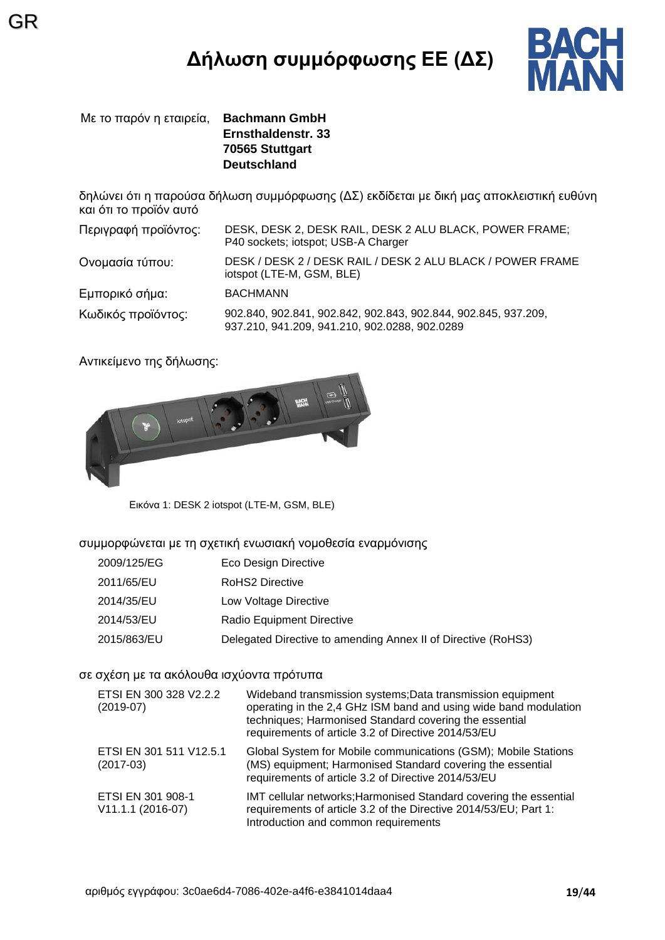# **Δήλωση συμμόρφωσης ΕΕ (ΔΣ)**



Με το παρόν η εταιρεία, **Bachmann GmbH Ernsthaldenstr. 33 70565 Stuttgart Deutschland**

GR

δηλώνει ότι η παρούσα δήλωση συμμόρφωσης (ΔΣ) εκδίδεται με δική μας αποκλειστική ευθύνη και ότι το προϊόν αυτό

| Περιγραφή προϊόντος: | DESK, DESK 2, DESK RAIL, DESK 2 ALU BLACK, POWER FRAME;<br>P40 sockets; iotspot; USB-A Charger                  |
|----------------------|-----------------------------------------------------------------------------------------------------------------|
| Ονομασία τύπου:      | DESK / DESK 2 / DESK RAIL / DESK 2 ALU BLACK / POWER FRAME<br>iotspot (LTE-M, GSM, BLE)                         |
| Εμπορικό σήμα:       | <b>BACHMANN</b>                                                                                                 |
| Κωδικός προϊόντος:   | 902.840, 902.841, 902.842, 902.843, 902.844, 902.845, 937.209,<br>937.210, 941.209, 941.210, 902.0288, 902.0289 |

Αντικείμενο της δήλωσης:



Εικόνα 1: DESK 2 iotspot (LTE-M, GSM, BLE)

συμμορφώνεται με τη σχετική ενωσιακή νομοθεσία εναρμόνισης

- 2009/125/EG Eco Design Directive
- 2011/65/EU RoHS2 Directive
- 2014/35/EU Low Voltage Directive
- 2014/53/EU Radio Equipment Directive
- 2015/863/EU Delegated Directive to amending Annex II of Directive (RoHS3)

#### σε σχέση με τα ακόλουθα ισχύοντα πρότυπα

| ETSI EN 300 328 V2.2.2<br>$(2019-07)$  | Wideband transmission systems; Data transmission equipment<br>operating in the 2,4 GHz ISM band and using wide band modulation<br>techniques; Harmonised Standard covering the essential<br>requirements of article 3.2 of Directive 2014/53/EU |
|----------------------------------------|-------------------------------------------------------------------------------------------------------------------------------------------------------------------------------------------------------------------------------------------------|
| ETSI EN 301 511 V12.5.1<br>$(2017-03)$ | Global System for Mobile communications (GSM); Mobile Stations<br>(MS) equipment; Harmonised Standard covering the essential<br>requirements of article 3.2 of Directive 2014/53/EU                                                             |
| ETSI EN 301 908-1<br>V11.1.1 (2016-07) | IMT cellular networks; Harmonised Standard covering the essential<br>requirements of article 3.2 of the Directive 2014/53/EU; Part 1:<br>Introduction and common requirements                                                                   |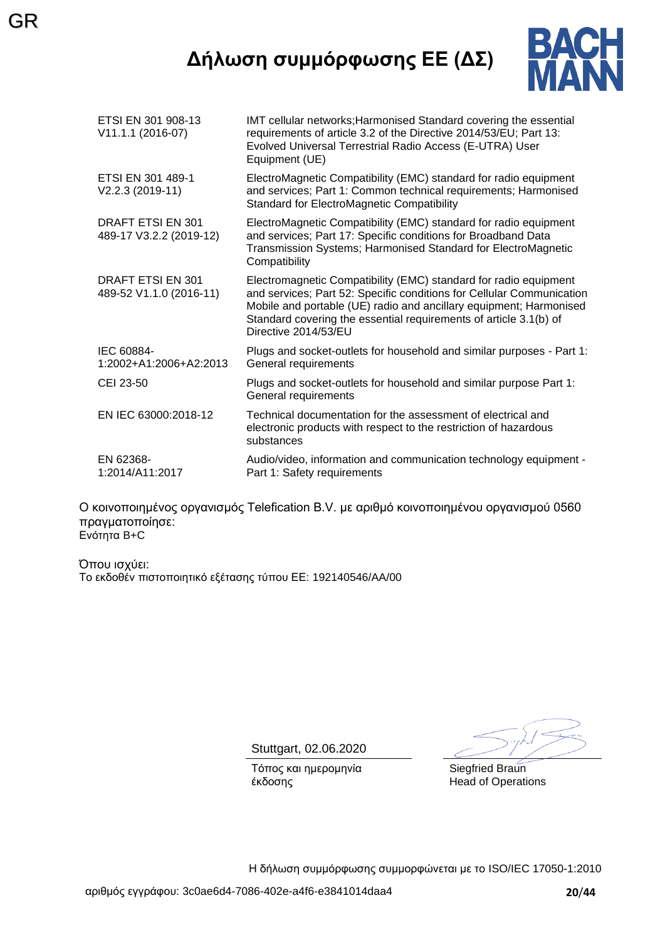## **Δήλωση συμμόρφωσης ΕΕ (ΔΣ)**

GR



| ETSI EN 301 908-13<br>V11.1.1 (2016-07)             | IMT cellular networks; Harmonised Standard covering the essential<br>requirements of article 3.2 of the Directive 2014/53/EU; Part 13:<br>Evolved Universal Terrestrial Radio Access (E-UTRA) User<br>Equipment (UE)                                                                                         |
|-----------------------------------------------------|--------------------------------------------------------------------------------------------------------------------------------------------------------------------------------------------------------------------------------------------------------------------------------------------------------------|
| ETSI EN 301 489-1<br>V2.2.3 (2019-11)               | ElectroMagnetic Compatibility (EMC) standard for radio equipment<br>and services; Part 1: Common technical requirements; Harmonised<br><b>Standard for ElectroMagnetic Compatibility</b>                                                                                                                     |
| <b>DRAFT ETSI EN 301</b><br>489-17 V3.2.2 (2019-12) | ElectroMagnetic Compatibility (EMC) standard for radio equipment<br>and services; Part 17: Specific conditions for Broadband Data<br>Transmission Systems; Harmonised Standard for ElectroMagnetic<br>Compatibility                                                                                          |
| <b>DRAFT ETSI EN 301</b><br>489-52 V1.1.0 (2016-11) | Electromagnetic Compatibility (EMC) standard for radio equipment<br>and services; Part 52: Specific conditions for Cellular Communication<br>Mobile and portable (UE) radio and ancillary equipment; Harmonised<br>Standard covering the essential requirements of article 3.1(b) of<br>Directive 2014/53/EU |
| IEC 60884-<br>1:2002+A1:2006+A2:2013                | Plugs and socket-outlets for household and similar purposes - Part 1:<br>General requirements                                                                                                                                                                                                                |
| CEI 23-50                                           | Plugs and socket-outlets for household and similar purpose Part 1:<br>General requirements                                                                                                                                                                                                                   |
| EN IEC 63000:2018-12                                | Technical documentation for the assessment of electrical and<br>electronic products with respect to the restriction of hazardous<br>substances                                                                                                                                                               |
| EN 62368-<br>1:2014/A11:2017                        | Audio/video, information and communication technology equipment -<br>Part 1: Safety requirements                                                                                                                                                                                                             |
|                                                     |                                                                                                                                                                                                                                                                                                              |

Ο κοινοποιημένος οργανισμός Telefication B.V. με αριθμό κοινοποιημένου οργανισμού 0560 πραγματοποίησε: Ενότητα B+C

Όπου ισχύει: Το εκδοθέν πιστοποιητικό εξέτασης τύπου ΕΕ: 192140546/AA/00

Stuttgart, 02.06.2020

Τόπος και ημερομηνία έκδοσης

Siegfried Braun Head of Operations

Η δήλωση συμμόρφωσης συμμορφώνεται με το ISO/IEC 17050-1:2010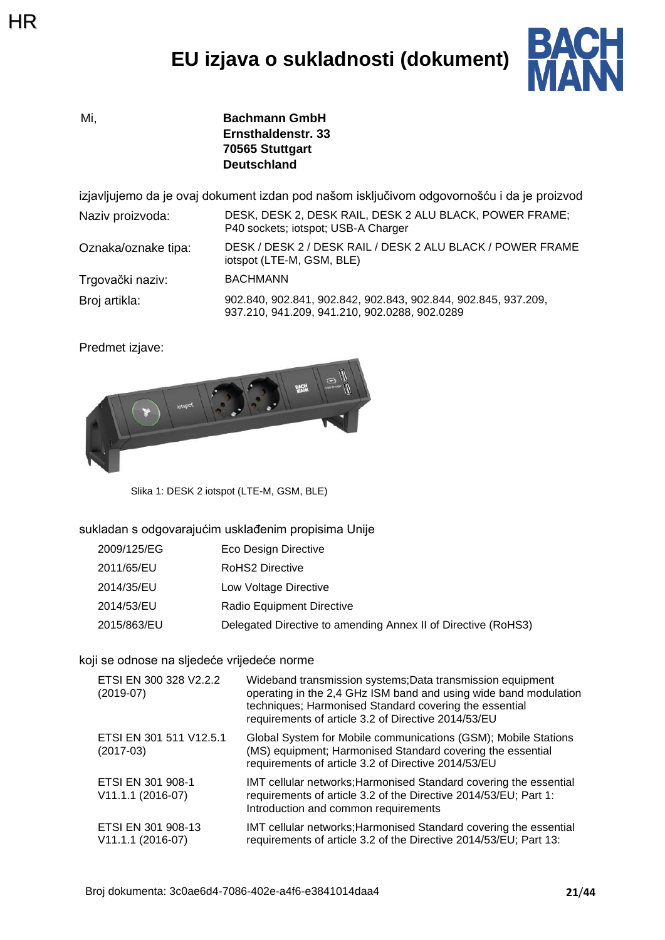## **EU izjava o sukladnosti (dokument)**



Mi, **Bachmann GmbH Ernsthaldenstr. 33 70565 Stuttgart Deutschland**

izjavljujemo da je ovaj dokument izdan pod našom isključivom odgovornošću i da je proizvod

Naziv proizvoda: DESK, DESK 2, DESK RAIL, DESK 2 ALU BLACK, POWER FRAME; P40 sockets; iotspot; USB-A Charger Oznaka/oznake tipa: DESK / DESK 2 / DESK RAIL / DESK 2 ALU BLACK / POWER FRAME

Trgovački naziv: BACHMANN

Broj artikla: 902.840, 902.841, 902.842, 902.843, 902.844, 902.845, 937.209, 937.210, 941.209, 941.210, 902.0288, 902.0289

iotspot (LTE-M, GSM, BLE)

Predmet izjave:



Slika 1: DESK 2 iotspot (LTE-M, GSM, BLE)

#### sukladan s odgovarajućim usklađenim propisima Unije

| 2009/125/EG | Eco Design Directive                                          |
|-------------|---------------------------------------------------------------|
| 2011/65/EU  | RoHS2 Directive                                               |
| 2014/35/EU  | Low Voltage Directive                                         |
| 2014/53/EU  | Radio Equipment Directive                                     |
| 2015/863/EU | Delegated Directive to amending Annex II of Directive (RoHS3) |

#### koji se odnose na sljedeće vrijedeće norme

| ETSI EN 300 328 V2.2.2<br>$(2019-07)$     | Wideband transmission systems; Data transmission equipment<br>operating in the 2,4 GHz ISM band and using wide band modulation<br>techniques; Harmonised Standard covering the essential<br>requirements of article 3.2 of Directive 2014/53/EU |
|-------------------------------------------|-------------------------------------------------------------------------------------------------------------------------------------------------------------------------------------------------------------------------------------------------|
| ETSI EN 301 511 V12.5.1<br>$(2017-03)$    | Global System for Mobile communications (GSM); Mobile Stations<br>(MS) equipment; Harmonised Standard covering the essential<br>requirements of article 3.2 of Directive 2014/53/EU                                                             |
| ETSI EN 301 908-1<br>V11.1.1 (2016-07)    | IMT cellular networks; Harmonised Standard covering the essential<br>requirements of article 3.2 of the Directive 2014/53/EU; Part 1:<br>Introduction and common requirements                                                                   |
| ETSI EN 301 908-13<br>$V11.1.1 (2016-07)$ | IMT cellular networks; Harmonised Standard covering the essential<br>requirements of article 3.2 of the Directive 2014/53/EU; Part 13:                                                                                                          |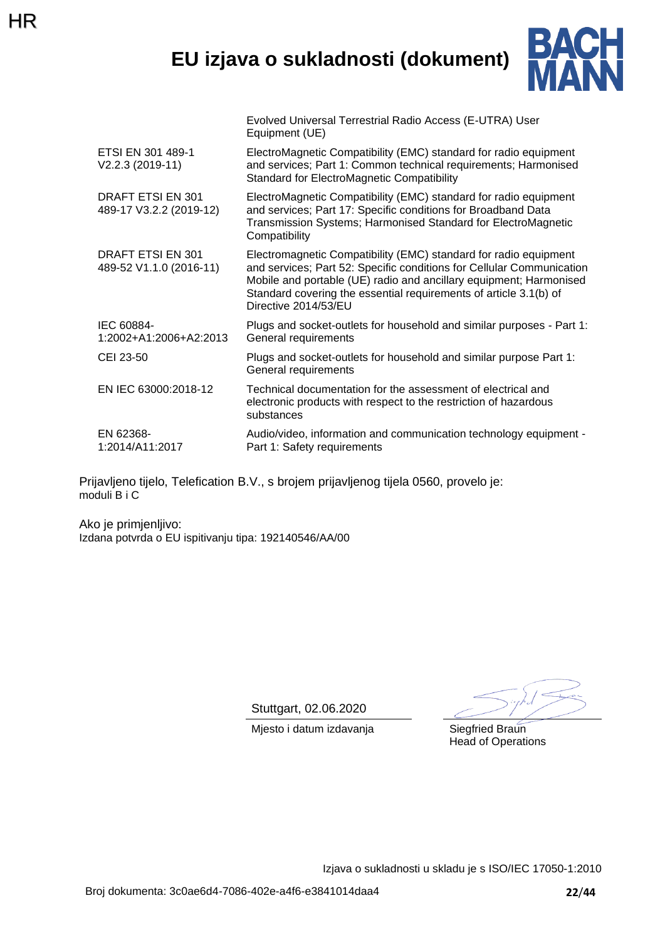### **EU izjava o sukladnosti (dokument)**

Evolved Universal Terrestrial Radio Access (E-UTRA) User



|                                              | Equipment (UE)                                                                                                                                                                                                                                                                                               |
|----------------------------------------------|--------------------------------------------------------------------------------------------------------------------------------------------------------------------------------------------------------------------------------------------------------------------------------------------------------------|
| ETSI EN 301 489-1<br>V2.2.3 (2019-11)        | ElectroMagnetic Compatibility (EMC) standard for radio equipment<br>and services; Part 1: Common technical requirements; Harmonised<br><b>Standard for ElectroMagnetic Compatibility</b>                                                                                                                     |
| DRAFT ETSI EN 301<br>489-17 V3.2.2 (2019-12) | ElectroMagnetic Compatibility (EMC) standard for radio equipment<br>and services; Part 17: Specific conditions for Broadband Data<br>Transmission Systems; Harmonised Standard for ElectroMagnetic<br>Compatibility                                                                                          |
| DRAFT ETSI EN 301<br>489-52 V1.1.0 (2016-11) | Electromagnetic Compatibility (EMC) standard for radio equipment<br>and services; Part 52: Specific conditions for Cellular Communication<br>Mobile and portable (UE) radio and ancillary equipment; Harmonised<br>Standard covering the essential requirements of article 3.1(b) of<br>Directive 2014/53/EU |
| IEC 60884-<br>1:2002+A1:2006+A2:2013         | Plugs and socket-outlets for household and similar purposes - Part 1:<br>General requirements                                                                                                                                                                                                                |
| CEI 23-50                                    | Plugs and socket-outlets for household and similar purpose Part 1:<br>General requirements                                                                                                                                                                                                                   |
| EN IEC 63000:2018-12                         | Technical documentation for the assessment of electrical and<br>electronic products with respect to the restriction of hazardous<br>substances                                                                                                                                                               |
| EN 62368-<br>1:2014/A11:2017                 | Audio/video, information and communication technology equipment -<br>Part 1: Safety requirements                                                                                                                                                                                                             |

Prijavljeno tijelo, Telefication B.V., s brojem prijavljenog tijela 0560, provelo je: moduli B i C

Ako je primjenljivo: Izdana potvrda o EU ispitivanju tipa: 192140546/AA/00

HR

Stuttgart, 02.06.2020

Mjesto i datum izdavanja **Siegfried Braun** 

Head of Operations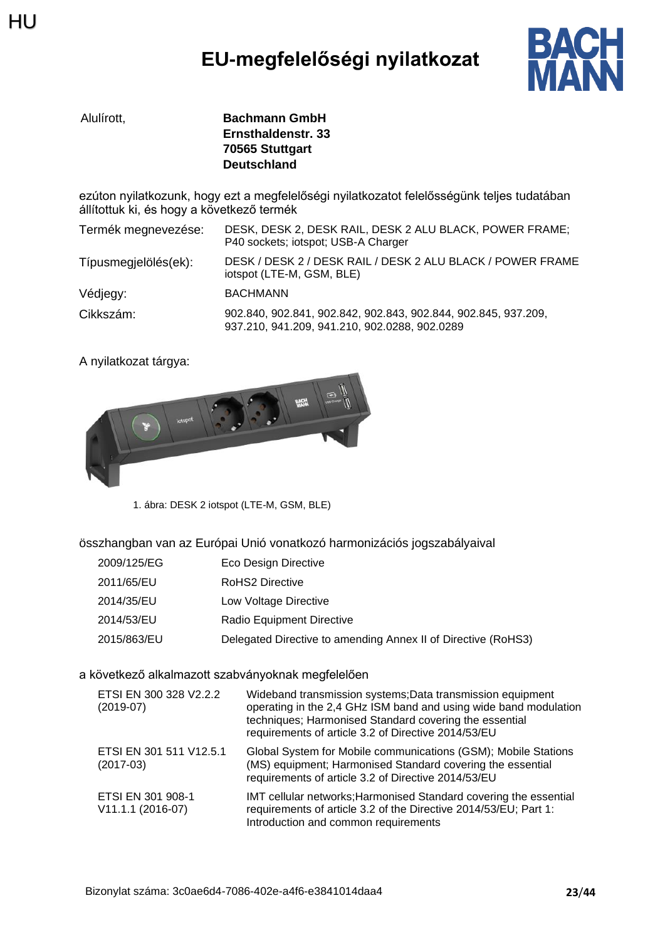## **EU-megfelelőségi nyilatkozat**



| Alulírott. | <b>Bachmann GmbH</b> |
|------------|----------------------|
|            | Ernsthaldenstr. 33   |
|            | 70565 Stuttgart      |
|            | <b>Deutschland</b>   |

ezúton nyilatkozunk, hogy ezt a megfelelőségi nyilatkozatot felelősségünk teljes tudatában állítottuk ki, és hogy a következő termék

| Termék megnevezése:  | DESK, DESK 2, DESK RAIL, DESK 2 ALU BLACK, POWER FRAME;<br>P40 sockets; iotspot; USB-A Charger                  |
|----------------------|-----------------------------------------------------------------------------------------------------------------|
| Típusmegjelölés(ek): | DESK / DESK 2 / DESK RAIL / DESK 2 ALU BLACK / POWER FRAME<br>iotspot (LTE-M, GSM, BLE)                         |
| Védjegy:             | <b>BACHMANN</b>                                                                                                 |
| Cikkszám:            | 902.840, 902.841, 902.842, 902.843, 902.844, 902.845, 937.209,<br>937.210, 941.209, 941.210, 902.0288, 902.0289 |

A nyilatkozat tárgya:



1. ábra: DESK 2 iotspot (LTE-M, GSM, BLE)

összhangban van az Európai Unió vonatkozó harmonizációs jogszabályaival

- 2009/125/EG Eco Design Directive
- 2011/65/EU RoHS2 Directive
- 2014/35/EU Low Voltage Directive
- 2014/53/EU Radio Equipment Directive
- 2015/863/EU Delegated Directive to amending Annex II of Directive (RoHS3)

#### a következő alkalmazott szabványoknak megfelelően

| ETSI EN 300 328 V2.2.2<br>$(2019-07)$  | Wideband transmission systems; Data transmission equipment<br>operating in the 2,4 GHz ISM band and using wide band modulation<br>techniques; Harmonised Standard covering the essential<br>requirements of article 3.2 of Directive 2014/53/EU |
|----------------------------------------|-------------------------------------------------------------------------------------------------------------------------------------------------------------------------------------------------------------------------------------------------|
| ETSI EN 301 511 V12.5.1<br>$(2017-03)$ | Global System for Mobile communications (GSM); Mobile Stations<br>(MS) equipment; Harmonised Standard covering the essential<br>requirements of article 3.2 of Directive 2014/53/EU                                                             |
| ETSI EN 301 908-1<br>V11.1.1 (2016-07) | IMT cellular networks; Harmonised Standard covering the essential<br>requirements of article 3.2 of the Directive 2014/53/EU; Part 1:<br>Introduction and common requirements                                                                   |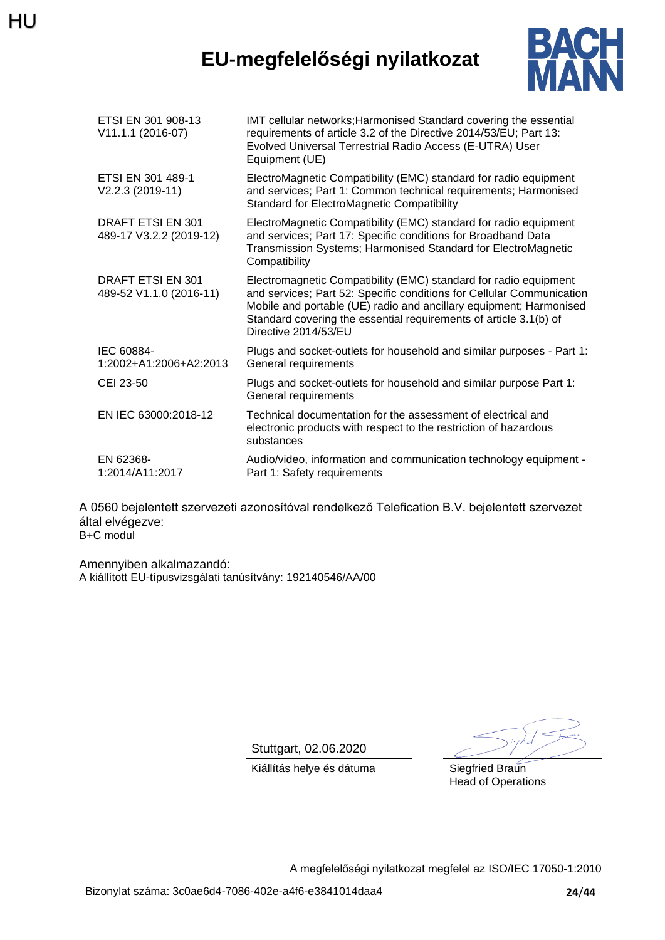## HU

## **EU-megfelelőségi nyilatkozat**



| ETSI EN 301 908-13<br>V11.1.1 (2016-07)      | IMT cellular networks; Harmonised Standard covering the essential<br>requirements of article 3.2 of the Directive 2014/53/EU; Part 13:<br>Evolved Universal Terrestrial Radio Access (E-UTRA) User<br>Equipment (UE)                                                                                         |
|----------------------------------------------|--------------------------------------------------------------------------------------------------------------------------------------------------------------------------------------------------------------------------------------------------------------------------------------------------------------|
| ETSI EN 301 489-1<br>V2.2.3 (2019-11)        | ElectroMagnetic Compatibility (EMC) standard for radio equipment<br>and services; Part 1: Common technical requirements; Harmonised<br><b>Standard for ElectroMagnetic Compatibility</b>                                                                                                                     |
| DRAFT ETSI EN 301<br>489-17 V3.2.2 (2019-12) | ElectroMagnetic Compatibility (EMC) standard for radio equipment<br>and services; Part 17: Specific conditions for Broadband Data<br>Transmission Systems; Harmonised Standard for ElectroMagnetic<br>Compatibility                                                                                          |
| DRAFT ETSI EN 301<br>489-52 V1.1.0 (2016-11) | Electromagnetic Compatibility (EMC) standard for radio equipment<br>and services; Part 52: Specific conditions for Cellular Communication<br>Mobile and portable (UE) radio and ancillary equipment; Harmonised<br>Standard covering the essential requirements of article 3.1(b) of<br>Directive 2014/53/EU |
| IEC 60884-<br>1:2002+A1:2006+A2:2013         | Plugs and socket-outlets for household and similar purposes - Part 1:<br>General requirements                                                                                                                                                                                                                |
| CEI 23-50                                    | Plugs and socket-outlets for household and similar purpose Part 1:<br>General requirements                                                                                                                                                                                                                   |
| EN IEC 63000:2018-12                         | Technical documentation for the assessment of electrical and<br>electronic products with respect to the restriction of hazardous<br>substances                                                                                                                                                               |
| EN 62368-<br>1:2014/A11:2017                 | Audio/video, information and communication technology equipment -<br>Part 1: Safety requirements                                                                                                                                                                                                             |

A 0560 bejelentett szervezeti azonosítóval rendelkező Telefication B.V. bejelentett szervezet által elvégezve: B+C modul

Amennyiben alkalmazandó: A kiállított EU-típusvizsgálati tanúsítvány: 192140546/AA/00

Stuttgart, 02.06.2020

Kiállítás helye és dátuma Siegfried Braun

Head of Operations

A megfelelőségi nyilatkozat megfelel az ISO/IEC 17050-1:2010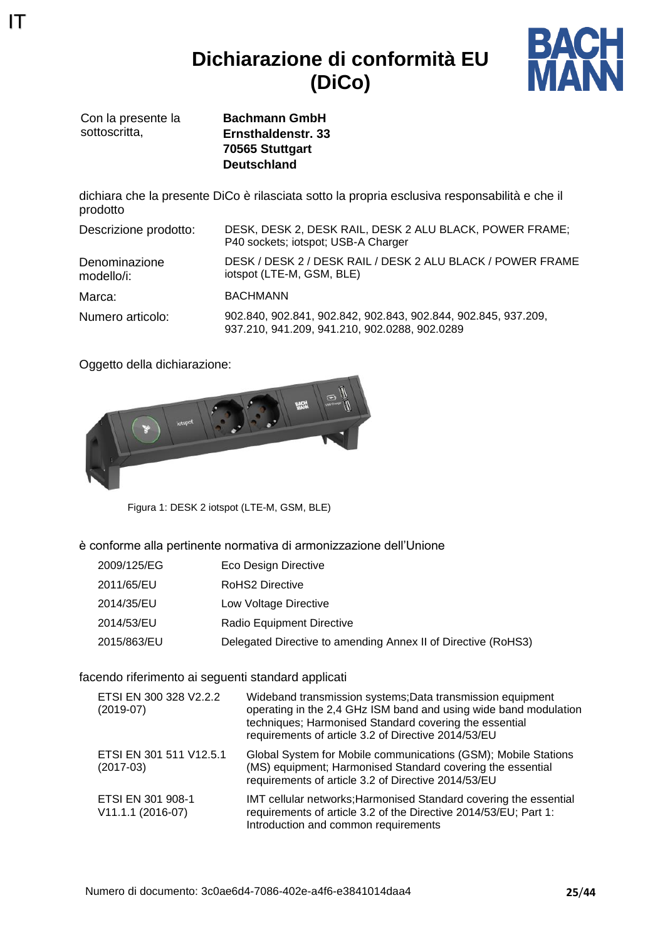### **Dichiarazione di conformità EU (DiCo)**



Con la presente la sottoscritta.

IT

**Bachmann GmbH Ernsthaldenstr. 33 70565 Stuttgart Deutschland**

dichiara che la presente DiCo è rilasciata sotto la propria esclusiva responsabilità e che il prodotto

| Descrizione prodotto:       | DESK, DESK 2, DESK RAIL, DESK 2 ALU BLACK, POWER FRAME;<br>P40 sockets; iotspot; USB-A Charger                  |
|-----------------------------|-----------------------------------------------------------------------------------------------------------------|
| Denominazione<br>modello/i: | DESK / DESK 2 / DESK RAIL / DESK 2 ALU BLACK / POWER FRAME<br>iotspot (LTE-M, GSM, BLE)                         |
| Marca:                      | <b>BACHMANN</b>                                                                                                 |
| Numero articolo:            | 902.840, 902.841, 902.842, 902.843, 902.844, 902.845, 937.209,<br>937.210, 941.209, 941.210, 902.0288, 902.0289 |

Oggetto della dichiarazione:



Figura 1: DESK 2 iotspot (LTE-M, GSM, BLE)

è conforme alla pertinente normativa di armonizzazione dell'Unione

- 2009/125/EG Eco Design Directive
- 2011/65/EU RoHS2 Directive
- 2014/35/EU Low Voltage Directive
- 2014/53/EU Radio Equipment Directive
- 2015/863/EU Delegated Directive to amending Annex II of Directive (RoHS3)

#### facendo riferimento ai seguenti standard applicati

| ETSI EN 300 328 V2.2.2<br>$(2019-07)$  | Wideband transmission systems; Data transmission equipment<br>operating in the 2,4 GHz ISM band and using wide band modulation<br>techniques; Harmonised Standard covering the essential<br>requirements of article 3.2 of Directive 2014/53/EU |
|----------------------------------------|-------------------------------------------------------------------------------------------------------------------------------------------------------------------------------------------------------------------------------------------------|
| ETSI EN 301 511 V12.5.1<br>$(2017-03)$ | Global System for Mobile communications (GSM); Mobile Stations<br>(MS) equipment; Harmonised Standard covering the essential<br>requirements of article 3.2 of Directive 2014/53/EU                                                             |
| ETSI EN 301 908-1<br>V11.1.1 (2016-07) | IMT cellular networks; Harmonised Standard covering the essential<br>requirements of article 3.2 of the Directive 2014/53/EU; Part 1:<br>Introduction and common requirements                                                                   |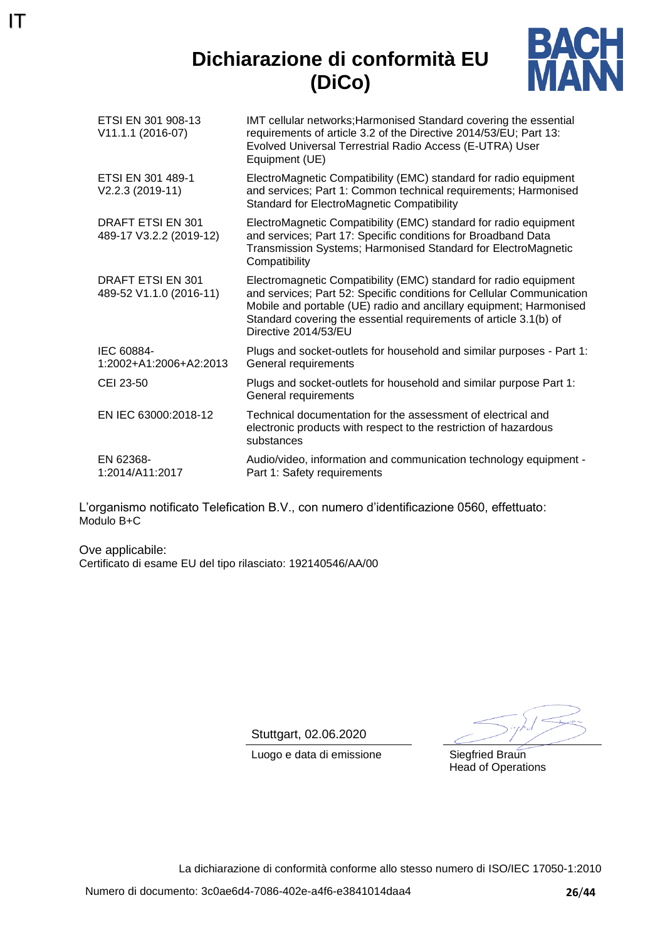### **Dichiarazione di conformità EU (DiCo)**



| ETSI EN 301 908-13<br>V11.1.1 (2016-07)             | IMT cellular networks; Harmonised Standard covering the essential<br>requirements of article 3.2 of the Directive 2014/53/EU; Part 13:<br>Evolved Universal Terrestrial Radio Access (E-UTRA) User<br>Equipment (UE)                                                                                         |
|-----------------------------------------------------|--------------------------------------------------------------------------------------------------------------------------------------------------------------------------------------------------------------------------------------------------------------------------------------------------------------|
| ETSI EN 301 489-1<br>V2.2.3 (2019-11)               | ElectroMagnetic Compatibility (EMC) standard for radio equipment<br>and services; Part 1: Common technical requirements; Harmonised<br><b>Standard for ElectroMagnetic Compatibility</b>                                                                                                                     |
| <b>DRAFT ETSI EN 301</b><br>489-17 V3.2.2 (2019-12) | ElectroMagnetic Compatibility (EMC) standard for radio equipment<br>and services; Part 17: Specific conditions for Broadband Data<br>Transmission Systems; Harmonised Standard for ElectroMagnetic<br>Compatibility                                                                                          |
| DRAFT ETSI EN 301<br>489-52 V1.1.0 (2016-11)        | Electromagnetic Compatibility (EMC) standard for radio equipment<br>and services; Part 52: Specific conditions for Cellular Communication<br>Mobile and portable (UE) radio and ancillary equipment; Harmonised<br>Standard covering the essential requirements of article 3.1(b) of<br>Directive 2014/53/EU |
| IEC 60884-<br>1:2002+A1:2006+A2:2013                | Plugs and socket-outlets for household and similar purposes - Part 1:<br>General requirements                                                                                                                                                                                                                |
| CEI 23-50                                           | Plugs and socket-outlets for household and similar purpose Part 1:<br>General requirements                                                                                                                                                                                                                   |
| EN IEC 63000:2018-12                                | Technical documentation for the assessment of electrical and<br>electronic products with respect to the restriction of hazardous<br>substances                                                                                                                                                               |
| EN 62368-<br>1:2014/A11:2017                        | Audio/video, information and communication technology equipment -<br>Part 1: Safety requirements                                                                                                                                                                                                             |

L'organismo notificato Telefication B.V., con numero d'identificazione 0560, effettuato: Modulo B+C

Ove applicabile: Certificato di esame EU del tipo rilasciato: 192140546/AA/00

IT

Stuttgart, 02.06.2020

Luogo e data di emissione Siegfried Braun

Head of Operations

La dichiarazione di conformità conforme allo stesso numero di ISO/IEC 17050-1:2010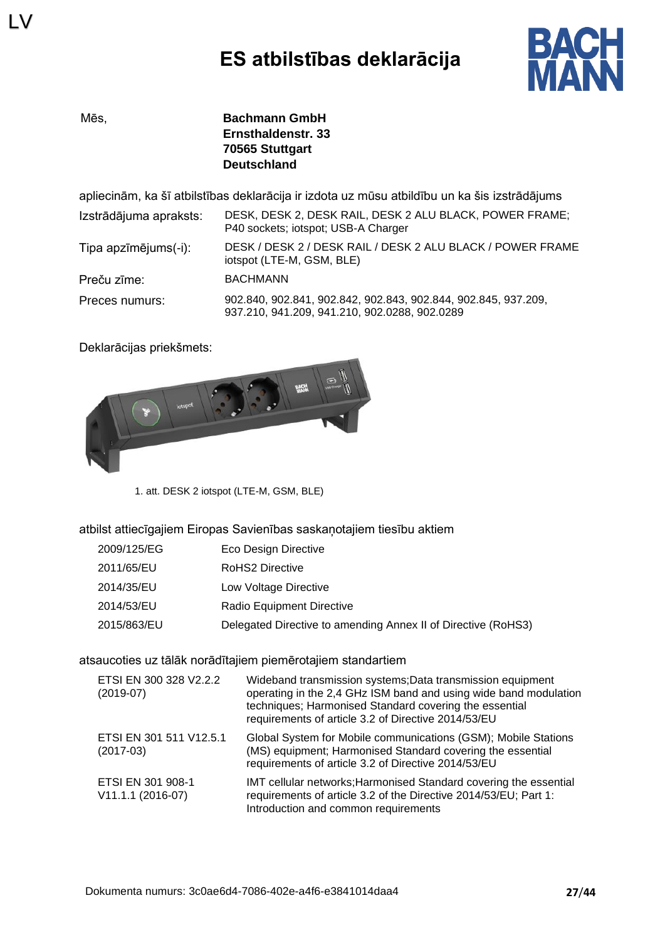

LV

Mēs, **Bachmann GmbH Ernsthaldenstr. 33 70565 Stuttgart Deutschland**

apliecinām, ka šī atbilstības deklarācija ir izdota uz mūsu atbildību un ka šis izstrādājums

| Izstrādājuma apraksts: | DESK, DESK 2, DESK RAIL, DESK 2 ALU BLACK, POWER FRAME;<br>P40 sockets; iotspot; USB-A Charger                  |
|------------------------|-----------------------------------------------------------------------------------------------------------------|
| Tipa apzīmējums(-i):   | DESK / DESK 2 / DESK RAIL / DESK 2 ALU BLACK / POWER FRAME<br>iotspot (LTE-M, GSM, BLE)                         |
| Preču zīme:            | <b>BACHMANN</b>                                                                                                 |
| Preces numurs:         | 902.840, 902.841, 902.842, 902.843, 902.844, 902.845, 937.209,<br>937.210, 941.209, 941.210, 902.0288, 902.0289 |

Deklarācijas priekšmets:



1. att. DESK 2 iotspot (LTE-M, GSM, BLE)

atbilst attiecīgajiem Eiropas Savienības saskaņotajiem tiesību aktiem

| Eco Design Directive                                          |
|---------------------------------------------------------------|
| RoHS2 Directive                                               |
| Low Voltage Directive                                         |
| Radio Equipment Directive                                     |
| Delegated Directive to amending Annex II of Directive (RoHS3) |
|                                                               |

atsaucoties uz tālāk norādītajiem piemērotajiem standartiem

| ETSI EN 300 328 V2.2.2<br>$(2019-07)$  | Wideband transmission systems; Data transmission equipment<br>operating in the 2,4 GHz ISM band and using wide band modulation<br>techniques; Harmonised Standard covering the essential<br>requirements of article 3.2 of Directive 2014/53/EU |
|----------------------------------------|-------------------------------------------------------------------------------------------------------------------------------------------------------------------------------------------------------------------------------------------------|
| ETSI EN 301 511 V12.5.1<br>$(2017-03)$ | Global System for Mobile communications (GSM); Mobile Stations<br>(MS) equipment; Harmonised Standard covering the essential<br>requirements of article 3.2 of Directive 2014/53/EU                                                             |
| ETSI EN 301 908-1<br>V11.1.1 (2016-07) | IMT cellular networks; Harmonised Standard covering the essential<br>requirements of article 3.2 of the Directive 2014/53/EU; Part 1:<br>Introduction and common requirements                                                                   |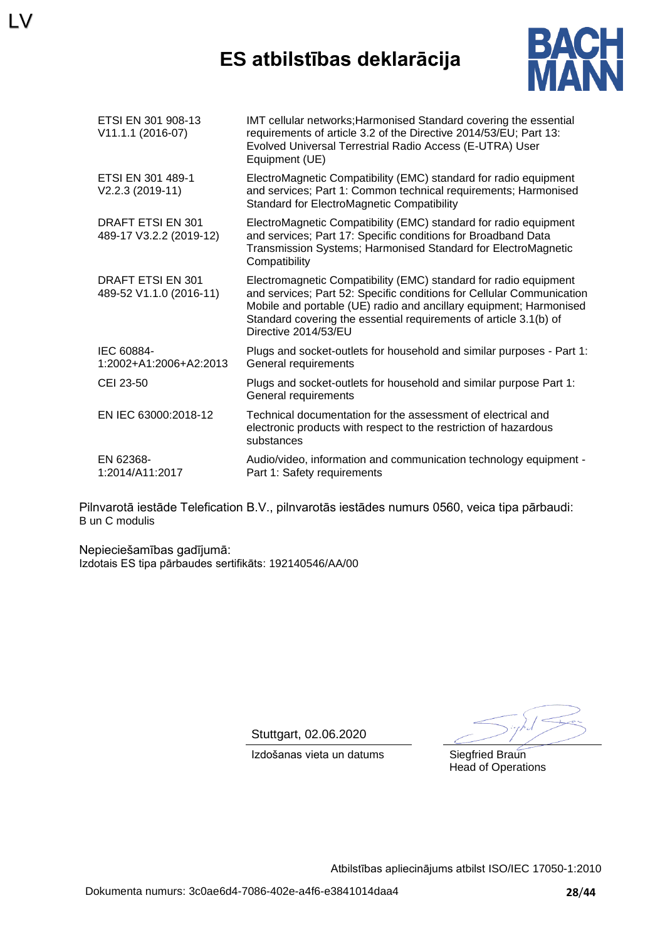### **ES atbilstības deklarācija**



| ETSI EN 301 908-13<br>V11.1.1 (2016-07)             | IMT cellular networks; Harmonised Standard covering the essential<br>requirements of article 3.2 of the Directive 2014/53/EU; Part 13:<br>Evolved Universal Terrestrial Radio Access (E-UTRA) User<br>Equipment (UE)                                                                                         |
|-----------------------------------------------------|--------------------------------------------------------------------------------------------------------------------------------------------------------------------------------------------------------------------------------------------------------------------------------------------------------------|
| ETSI EN 301 489-1<br>V2.2.3 (2019-11)               | ElectroMagnetic Compatibility (EMC) standard for radio equipment<br>and services; Part 1: Common technical requirements; Harmonised<br><b>Standard for ElectroMagnetic Compatibility</b>                                                                                                                     |
| <b>DRAFT ETSI EN 301</b><br>489-17 V3.2.2 (2019-12) | ElectroMagnetic Compatibility (EMC) standard for radio equipment<br>and services; Part 17: Specific conditions for Broadband Data<br>Transmission Systems; Harmonised Standard for ElectroMagnetic<br>Compatibility                                                                                          |
| DRAFT ETSI EN 301<br>489-52 V1.1.0 (2016-11)        | Electromagnetic Compatibility (EMC) standard for radio equipment<br>and services; Part 52: Specific conditions for Cellular Communication<br>Mobile and portable (UE) radio and ancillary equipment; Harmonised<br>Standard covering the essential requirements of article 3.1(b) of<br>Directive 2014/53/EU |
| IEC 60884-<br>1:2002+A1:2006+A2:2013                | Plugs and socket-outlets for household and similar purposes - Part 1:<br>General requirements                                                                                                                                                                                                                |
| CEI 23-50                                           | Plugs and socket-outlets for household and similar purpose Part 1:<br>General requirements                                                                                                                                                                                                                   |
| EN IEC 63000:2018-12                                | Technical documentation for the assessment of electrical and<br>electronic products with respect to the restriction of hazardous<br>substances                                                                                                                                                               |
| EN 62368-<br>1:2014/A11:2017                        | Audio/video, information and communication technology equipment -<br>Part 1: Safety requirements                                                                                                                                                                                                             |
|                                                     |                                                                                                                                                                                                                                                                                                              |

Pilnvarotā iestāde Telefication B.V., pilnvarotās iestādes numurs 0560, veica tipa pārbaudi: B un C modulis

Nepieciešamības gadījumā: Izdotais ES tipa pārbaudes sertifikāts: 192140546/AA/00

LV

Stuttgart, 02.06.2020

Izdošanas vieta un datums Siegfried Braun

Head of Operations

Atbilstības apliecinājums atbilst ISO/IEC 17050-1:2010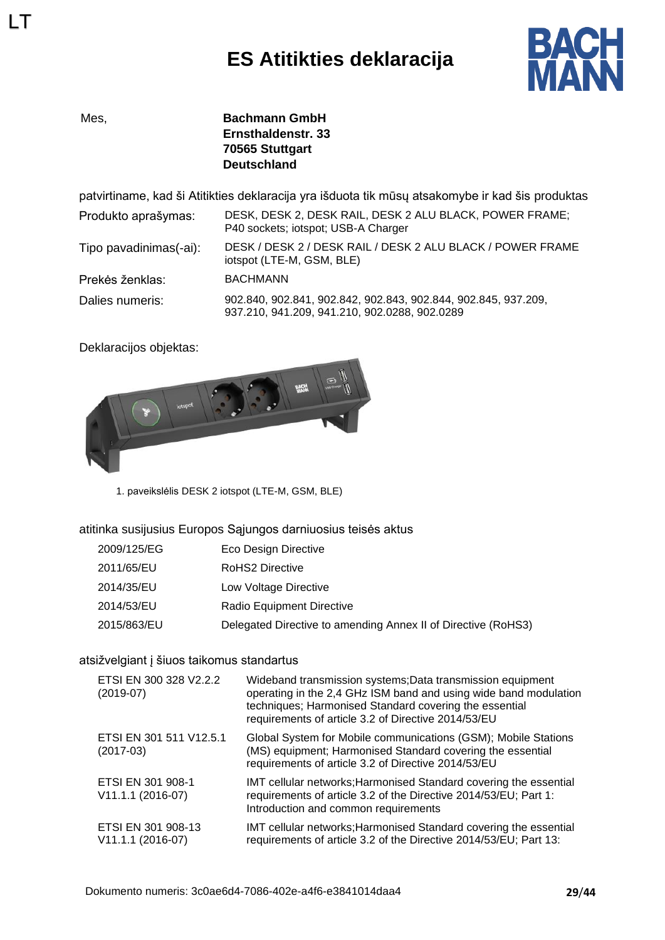## **ES Atitikties deklaracija**



LT

Mes, **Bachmann GmbH Ernsthaldenstr. 33 70565 Stuttgart Deutschland**

patvirtiname, kad ši Atitikties deklaracija yra išduota tik mūsų atsakomybe ir kad šis produktas

| Produkto aprašymas:    | DESK, DESK 2, DESK RAIL, DESK 2 ALU BLACK, POWER FRAME;<br>P40 sockets; iotspot; USB-A Charger                  |
|------------------------|-----------------------------------------------------------------------------------------------------------------|
| Tipo pavadinimas(-ai): | DESK / DESK 2 / DESK RAIL / DESK 2 ALU BLACK / POWER FRAME<br>iotspot (LTE-M, GSM, BLE)                         |
| Prekės ženklas:        | <b>BACHMANN</b>                                                                                                 |
| Dalies numeris:        | 902.840, 902.841, 902.842, 902.843, 902.844, 902.845, 937.209,<br>937.210, 941.209, 941.210, 902.0288, 902.0289 |

Deklaracijos objektas:



1. paveikslėlis DESK 2 iotspot (LTE-M, GSM, BLE)

#### atitinka susijusius Europos Sąjungos darniuosius teisės aktus

| 2009/125/EG | Eco Design Directive                                          |
|-------------|---------------------------------------------------------------|
| 2011/65/EU  | <b>RoHS2 Directive</b>                                        |
| 2014/35/EU  | Low Voltage Directive                                         |
| 2014/53/EU  | Radio Equipment Directive                                     |
| 2015/863/EU | Delegated Directive to amending Annex II of Directive (RoHS3) |

#### atsižvelgiant į šiuos taikomus standartus

| ETSI EN 300 328 V2.2.2<br>$(2019-07)$     | Wideband transmission systems; Data transmission equipment<br>operating in the 2,4 GHz ISM band and using wide band modulation<br>techniques; Harmonised Standard covering the essential<br>requirements of article 3.2 of Directive 2014/53/EU |
|-------------------------------------------|-------------------------------------------------------------------------------------------------------------------------------------------------------------------------------------------------------------------------------------------------|
| ETSI EN 301 511 V12.5.1<br>$(2017-03)$    | Global System for Mobile communications (GSM); Mobile Stations<br>(MS) equipment; Harmonised Standard covering the essential<br>requirements of article 3.2 of Directive 2014/53/EU                                                             |
| ETSI EN 301 908-1<br>V11.1.1 (2016-07)    | IMT cellular networks; Harmonised Standard covering the essential<br>requirements of article 3.2 of the Directive 2014/53/EU; Part 1:<br>Introduction and common requirements                                                                   |
| ETSI EN 301 908-13<br>$V11.1.1 (2016-07)$ | IMT cellular networks; Harmonised Standard covering the essential<br>requirements of article 3.2 of the Directive 2014/53/EU; Part 13:                                                                                                          |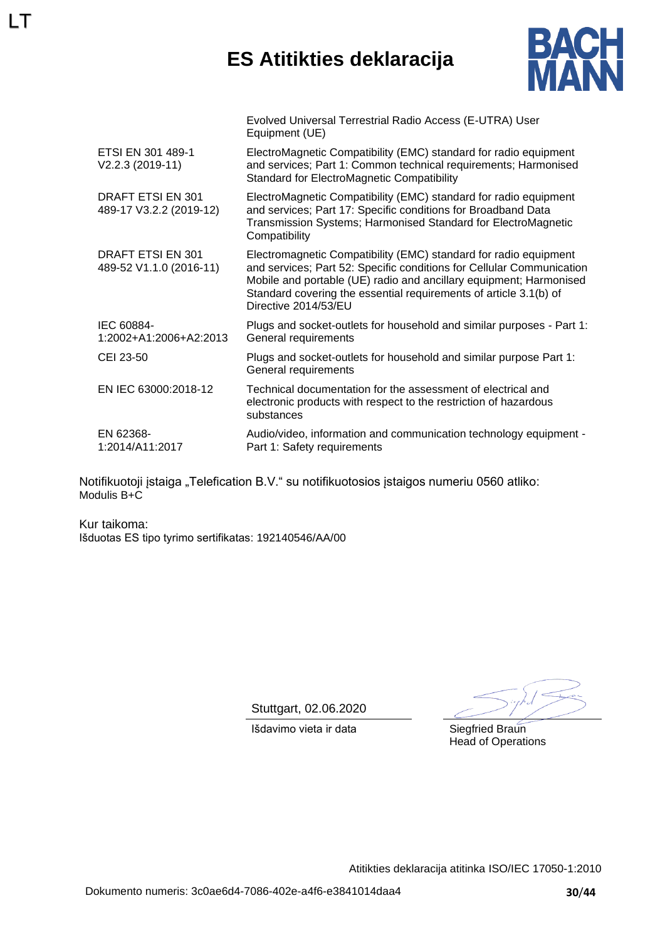## **ES Atitikties deklaracija**



|                                              | Evolved Universal Terrestrial Radio Access (E-UTRA) User<br>Equipment (UE)                                                                                                                                                                                                                                   |
|----------------------------------------------|--------------------------------------------------------------------------------------------------------------------------------------------------------------------------------------------------------------------------------------------------------------------------------------------------------------|
| ETSI EN 301 489-1<br>$V2.2.3 (2019-11)$      | ElectroMagnetic Compatibility (EMC) standard for radio equipment<br>and services; Part 1: Common technical requirements; Harmonised<br><b>Standard for ElectroMagnetic Compatibility</b>                                                                                                                     |
| DRAFT ETSI EN 301<br>489-17 V3.2.2 (2019-12) | ElectroMagnetic Compatibility (EMC) standard for radio equipment<br>and services; Part 17: Specific conditions for Broadband Data<br>Transmission Systems; Harmonised Standard for ElectroMagnetic<br>Compatibility                                                                                          |
| DRAFT ETSI EN 301<br>489-52 V1.1.0 (2016-11) | Electromagnetic Compatibility (EMC) standard for radio equipment<br>and services; Part 52: Specific conditions for Cellular Communication<br>Mobile and portable (UE) radio and ancillary equipment; Harmonised<br>Standard covering the essential requirements of article 3.1(b) of<br>Directive 2014/53/EU |
| IEC 60884-<br>1:2002+A1:2006+A2:2013         | Plugs and socket-outlets for household and similar purposes - Part 1:<br>General requirements                                                                                                                                                                                                                |
| CEI 23-50                                    | Plugs and socket-outlets for household and similar purpose Part 1:<br>General requirements                                                                                                                                                                                                                   |
| EN IEC 63000:2018-12                         | Technical documentation for the assessment of electrical and<br>electronic products with respect to the restriction of hazardous<br>substances                                                                                                                                                               |
| EN 62368-<br>1:2014/A11:2017                 | Audio/video, information and communication technology equipment -<br>Part 1: Safety requirements                                                                                                                                                                                                             |

Notifikuotoji įstaiga "Telefication B.V." su notifikuotosios įstaigos numeriu 0560 atliko: Modulis B+C

Kur taikoma: Išduotas ES tipo tyrimo sertifikatas: 192140546/AA/00

LT

Stuttgart, 02.06.2020

Išdavimo vieta ir data Siegfried Braun

Head of Operations

Atitikties deklaracija atitinka ISO/IEC 17050-1:2010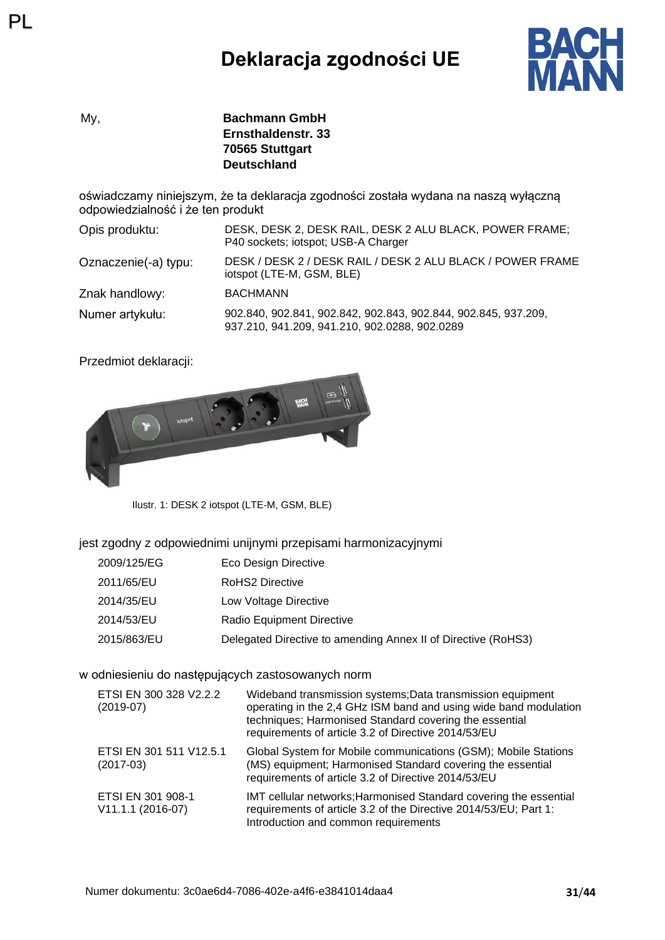## **Deklaracja zgodności UE**



My, **Bachmann GmbH Ernsthaldenstr. 33 70565 Stuttgart Deutschland**

oświadczamy niniejszym, że ta deklaracja zgodności została wydana na naszą wyłączną odpowiedzialność i że ten produkt

| Opis produktu:       | DESK, DESK 2, DESK RAIL, DESK 2 ALU BLACK, POWER FRAME;<br>P40 sockets; iotspot; USB-A Charger                  |
|----------------------|-----------------------------------------------------------------------------------------------------------------|
| Oznaczenie(-a) typu: | DESK / DESK 2 / DESK RAIL / DESK 2 ALU BLACK / POWER FRAME<br>iotspot (LTE-M, GSM, BLE)                         |
| Znak handlowy:       | <b>BACHMANN</b>                                                                                                 |
| Numer artykułu:      | 902.840, 902.841, 902.842, 902.843, 902.844, 902.845, 937.209,<br>937.210, 941.209, 941.210, 902.0288, 902.0289 |

Przedmiot deklaracji:

PL



Ilustr. 1: DESK 2 iotspot (LTE-M, GSM, BLE)

jest zgodny z odpowiednimi unijnymi przepisami harmonizacyjnymi

- 2009/125/EG Eco Design Directive
- 2011/65/EU RoHS2 Directive
- 2014/35/EU Low Voltage Directive
- 2014/53/EU Radio Equipment Directive
- 2015/863/EU Delegated Directive to amending Annex II of Directive (RoHS3)

#### w odniesieniu do następujących zastosowanych norm

| ETSI EN 300 328 V2.2.2<br>$(2019-07)$  | Wideband transmission systems; Data transmission equipment<br>operating in the 2,4 GHz ISM band and using wide band modulation<br>techniques; Harmonised Standard covering the essential<br>requirements of article 3.2 of Directive 2014/53/EU |
|----------------------------------------|-------------------------------------------------------------------------------------------------------------------------------------------------------------------------------------------------------------------------------------------------|
| ETSI EN 301 511 V12.5.1<br>$(2017-03)$ | Global System for Mobile communications (GSM); Mobile Stations<br>(MS) equipment; Harmonised Standard covering the essential<br>requirements of article 3.2 of Directive 2014/53/EU                                                             |
| ETSI EN 301 908-1<br>V11.1.1 (2016-07) | IMT cellular networks; Harmonised Standard covering the essential<br>requirements of article 3.2 of the Directive 2014/53/EU; Part 1:<br>Introduction and common requirements                                                                   |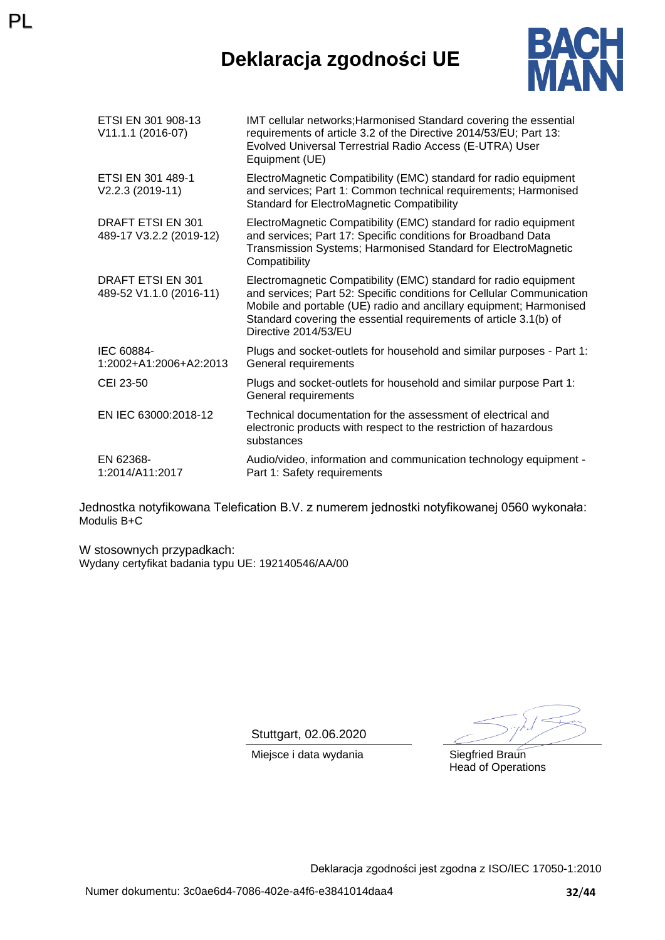### **Deklaracja zgodności UE**



| ETSI EN 301 908-13<br>V11.1.1 (2016-07)             | IMT cellular networks; Harmonised Standard covering the essential<br>requirements of article 3.2 of the Directive 2014/53/EU; Part 13:<br>Evolved Universal Terrestrial Radio Access (E-UTRA) User<br>Equipment (UE)                                                                                         |
|-----------------------------------------------------|--------------------------------------------------------------------------------------------------------------------------------------------------------------------------------------------------------------------------------------------------------------------------------------------------------------|
| ETSI EN 301 489-1<br>V2.2.3 (2019-11)               | ElectroMagnetic Compatibility (EMC) standard for radio equipment<br>and services; Part 1: Common technical requirements; Harmonised<br><b>Standard for ElectroMagnetic Compatibility</b>                                                                                                                     |
| DRAFT ETSI EN 301<br>489-17 V3.2.2 (2019-12)        | ElectroMagnetic Compatibility (EMC) standard for radio equipment<br>and services; Part 17: Specific conditions for Broadband Data<br>Transmission Systems; Harmonised Standard for ElectroMagnetic<br>Compatibility                                                                                          |
| <b>DRAFT ETSI EN 301</b><br>489-52 V1.1.0 (2016-11) | Electromagnetic Compatibility (EMC) standard for radio equipment<br>and services; Part 52: Specific conditions for Cellular Communication<br>Mobile and portable (UE) radio and ancillary equipment; Harmonised<br>Standard covering the essential requirements of article 3.1(b) of<br>Directive 2014/53/EU |
| IEC 60884-<br>1:2002+A1:2006+A2:2013                | Plugs and socket-outlets for household and similar purposes - Part 1:<br>General requirements                                                                                                                                                                                                                |
| CEI 23-50                                           | Plugs and socket-outlets for household and similar purpose Part 1:<br>General requirements                                                                                                                                                                                                                   |
| EN IEC 63000:2018-12                                | Technical documentation for the assessment of electrical and<br>electronic products with respect to the restriction of hazardous<br>substances                                                                                                                                                               |
| EN 62368-<br>1:2014/A11:2017                        | Audio/video, information and communication technology equipment -<br>Part 1: Safety requirements                                                                                                                                                                                                             |

Jednostka notyfikowana Telefication B.V. z numerem jednostki notyfikowanej 0560 wykonała: Modulis B+C

W stosownych przypadkach: Wydany certyfikat badania typu UE: 192140546/AA/00

PL

Stuttgart, 02.06.2020

Miejsce i data wydania Siegfried Braun

Head of Operations

Deklaracja zgodności jest zgodna z ISO/IEC 17050-1:2010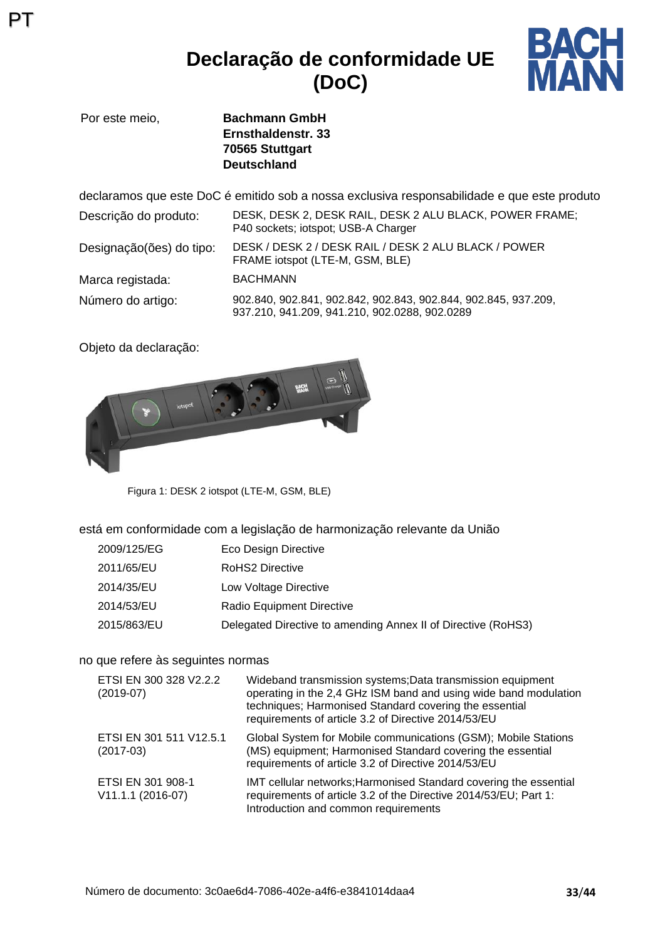### **Declaração de conformidade UE (DoC)**



Por este meio, **Bachmann GmbH Ernsthaldenstr. 33 70565 Stuttgart Deutschland**

declaramos que este DoC é emitido sob a nossa exclusiva responsabilidade e que este produto Descrição do produto: DESK, DESK 2, DESK RAIL, DESK 2 ALU BLACK, POWER FRAME; P40 sockets; jotspot; USB-A Charger Designação(ões) do tipo: DESK / DESK 2 / DESK RAIL / DESK 2 ALU BLACK / POWER FRAME iotspot (LTE-M, GSM, BLE) Marca registada: BACHMANN Número do artigo: 902.840, 902.841, 902.842, 902.843, 902.844, 902.845, 937.209, 937.210, 941.209, 941.210, 902.0288, 902.0289

Objeto da declaração:

PT



Figura 1: DESK 2 iotspot (LTE-M, GSM, BLE)

está em conformidade com a legislação de harmonização relevante da União

| 2009/125/EG | Eco Design Directive                                          |
|-------------|---------------------------------------------------------------|
| 2011/65/EU  | RoHS2 Directive                                               |
| 2014/35/EU  | Low Voltage Directive                                         |
| 2014/53/EU  | Radio Equipment Directive                                     |
| 2015/863/EU | Delegated Directive to amending Annex II of Directive (RoHS3) |

#### no que refere às seguintes normas

| ETSI EN 300 328 V2.2.2<br>$(2019-07)$    | Wideband transmission systems; Data transmission equipment<br>operating in the 2,4 GHz ISM band and using wide band modulation<br>techniques; Harmonised Standard covering the essential<br>requirements of article 3.2 of Directive 2014/53/EU |
|------------------------------------------|-------------------------------------------------------------------------------------------------------------------------------------------------------------------------------------------------------------------------------------------------|
| ETSI EN 301 511 V12.5.1<br>$(2017-03)$   | Global System for Mobile communications (GSM); Mobile Stations<br>(MS) equipment; Harmonised Standard covering the essential<br>requirements of article 3.2 of Directive 2014/53/EU                                                             |
| ETSI EN 301 908-1<br>$V11.1.1 (2016-07)$ | IMT cellular networks; Harmonised Standard covering the essential<br>requirements of article 3.2 of the Directive 2014/53/EU; Part 1:<br>Introduction and common requirements                                                                   |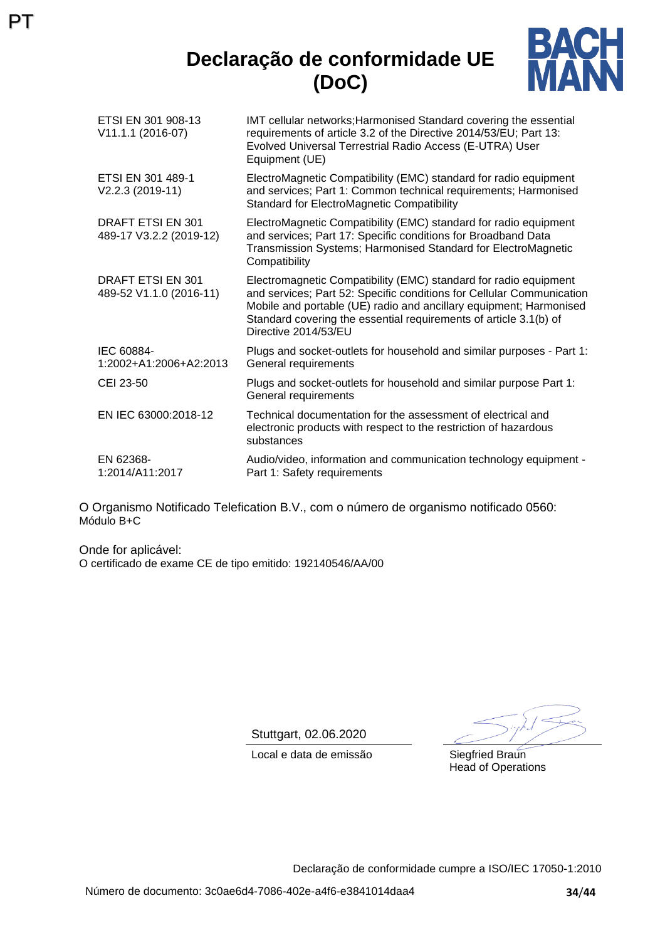### **Declaração de conformidade UE (DoC)**



| ETSI EN 301 908-13<br>V11.1.1 (2016-07)      | IMT cellular networks; Harmonised Standard covering the essential<br>requirements of article 3.2 of the Directive 2014/53/EU; Part 13:<br>Evolved Universal Terrestrial Radio Access (E-UTRA) User<br>Equipment (UE)                                                                                         |
|----------------------------------------------|--------------------------------------------------------------------------------------------------------------------------------------------------------------------------------------------------------------------------------------------------------------------------------------------------------------|
| ETSI EN 301 489-1<br>V2.2.3 (2019-11)        | ElectroMagnetic Compatibility (EMC) standard for radio equipment<br>and services; Part 1: Common technical requirements; Harmonised<br><b>Standard for ElectroMagnetic Compatibility</b>                                                                                                                     |
| DRAFT ETSI EN 301<br>489-17 V3.2.2 (2019-12) | ElectroMagnetic Compatibility (EMC) standard for radio equipment<br>and services; Part 17: Specific conditions for Broadband Data<br>Transmission Systems; Harmonised Standard for ElectroMagnetic<br>Compatibility                                                                                          |
| DRAFT ETSI EN 301<br>489-52 V1.1.0 (2016-11) | Electromagnetic Compatibility (EMC) standard for radio equipment<br>and services; Part 52: Specific conditions for Cellular Communication<br>Mobile and portable (UE) radio and ancillary equipment; Harmonised<br>Standard covering the essential requirements of article 3.1(b) of<br>Directive 2014/53/EU |
| IEC 60884-<br>1:2002+A1:2006+A2:2013         | Plugs and socket-outlets for household and similar purposes - Part 1:<br>General requirements                                                                                                                                                                                                                |
| CEI 23-50                                    | Plugs and socket-outlets for household and similar purpose Part 1:<br>General requirements                                                                                                                                                                                                                   |
| EN IEC 63000:2018-12                         | Technical documentation for the assessment of electrical and<br>electronic products with respect to the restriction of hazardous<br>substances                                                                                                                                                               |
| EN 62368-<br>1:2014/A11:2017                 | Audio/video, information and communication technology equipment -<br>Part 1: Safety requirements                                                                                                                                                                                                             |

O Organismo Notificado Telefication B.V., com o número de organismo notificado 0560: Módulo B+C

Onde for aplicável: O certificado de exame CE de tipo emitido: 192140546/AA/00

PT

Stuttgart, 02.06.2020

Local e data de emissão Siegfried Braun

Head of Operations

Declaração de conformidade cumpre a ISO/IEC 17050-1:2010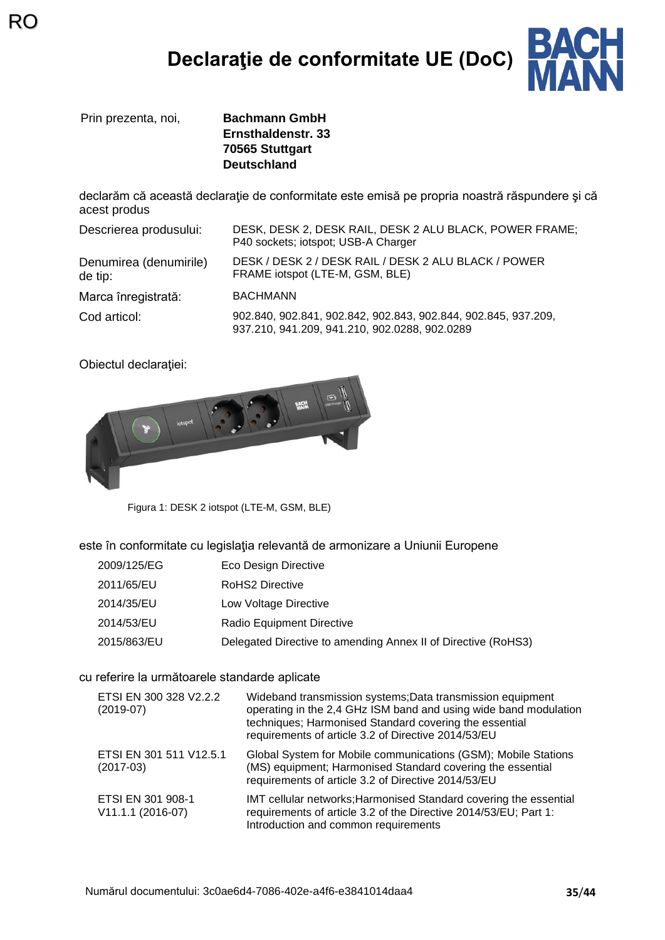# **Declaraţie de conformitate UE (DoC)**



Prin prezenta, noi, **Bachmann GmbH**

RC

**Ernsthaldenstr. 33 70565 Stuttgart Deutschland**

declarăm că această declaraţie de conformitate este emisă pe propria noastră răspundere şi că acest produs

| Descrierea produsului:            | DESK, DESK 2, DESK RAIL, DESK 2 ALU BLACK, POWER FRAME;<br>P40 sockets; iotspot; USB-A Charger                  |
|-----------------------------------|-----------------------------------------------------------------------------------------------------------------|
| Denumirea (denumirile)<br>de tip: | DESK / DESK 2 / DESK RAIL / DESK 2 ALU BLACK / POWER<br>FRAME iotspot (LTE-M, GSM, BLE)                         |
| Marca înregistrată:               | <b>BACHMANN</b>                                                                                                 |
| Cod articol:                      | 902.840, 902.841, 902.842, 902.843, 902.844, 902.845, 937.209,<br>937.210, 941.209, 941.210, 902.0288, 902.0289 |

Obiectul declaraţiei:



Figura 1: DESK 2 iotspot (LTE-M, GSM, BLE)

este în conformitate cu legislaţia relevantă de armonizare a Uniunii Europene

- 2009/125/EG Eco Design Directive
- 2011/65/EU RoHS2 Directive
- 2014/35/EU Low Voltage Directive
- 2014/53/EU Radio Equipment Directive
- 2015/863/EU Delegated Directive to amending Annex II of Directive (RoHS3)

#### cu referire la următoarele standarde aplicate

| ETSI EN 300 328 V2.2.2<br>$(2019-07)$  | Wideband transmission systems; Data transmission equipment<br>operating in the 2,4 GHz ISM band and using wide band modulation<br>techniques; Harmonised Standard covering the essential<br>requirements of article 3.2 of Directive 2014/53/EU |
|----------------------------------------|-------------------------------------------------------------------------------------------------------------------------------------------------------------------------------------------------------------------------------------------------|
| ETSI EN 301 511 V12.5.1<br>$(2017-03)$ | Global System for Mobile communications (GSM); Mobile Stations<br>(MS) equipment; Harmonised Standard covering the essential<br>requirements of article 3.2 of Directive 2014/53/EU                                                             |
| ETSI EN 301 908-1<br>V11.1.1 (2016-07) | IMT cellular networks; Harmonised Standard covering the essential<br>requirements of article 3.2 of the Directive 2014/53/EU; Part 1:<br>Introduction and common requirements                                                                   |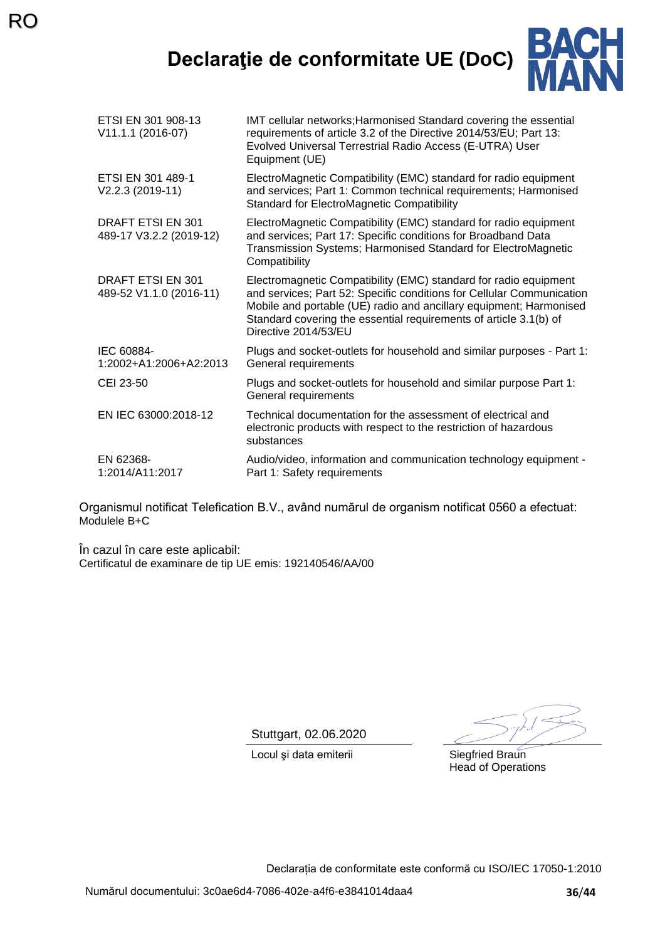**Declaraţie de conformitate UE (DoC)**



| ETSI EN 301 908-13<br>V11.1.1 (2016-07)             | IMT cellular networks; Harmonised Standard covering the essential<br>requirements of article 3.2 of the Directive 2014/53/EU; Part 13:<br>Evolved Universal Terrestrial Radio Access (E-UTRA) User<br>Equipment (UE)                                                                                         |
|-----------------------------------------------------|--------------------------------------------------------------------------------------------------------------------------------------------------------------------------------------------------------------------------------------------------------------------------------------------------------------|
| ETSI EN 301 489-1<br>$V2.2.3 (2019-11)$             | ElectroMagnetic Compatibility (EMC) standard for radio equipment<br>and services; Part 1: Common technical requirements; Harmonised<br><b>Standard for ElectroMagnetic Compatibility</b>                                                                                                                     |
| DRAFT ETSI EN 301<br>489-17 V3.2.2 (2019-12)        | ElectroMagnetic Compatibility (EMC) standard for radio equipment<br>and services; Part 17: Specific conditions for Broadband Data<br>Transmission Systems; Harmonised Standard for ElectroMagnetic<br>Compatibility                                                                                          |
| <b>DRAFT ETSI EN 301</b><br>489-52 V1.1.0 (2016-11) | Electromagnetic Compatibility (EMC) standard for radio equipment<br>and services; Part 52: Specific conditions for Cellular Communication<br>Mobile and portable (UE) radio and ancillary equipment; Harmonised<br>Standard covering the essential requirements of article 3.1(b) of<br>Directive 2014/53/EU |
| IEC 60884-<br>1:2002+A1:2006+A2:2013                | Plugs and socket-outlets for household and similar purposes - Part 1:<br>General requirements                                                                                                                                                                                                                |
| CEI 23-50                                           | Plugs and socket-outlets for household and similar purpose Part 1:<br>General requirements                                                                                                                                                                                                                   |
| EN IEC 63000:2018-12                                | Technical documentation for the assessment of electrical and<br>electronic products with respect to the restriction of hazardous<br>substances                                                                                                                                                               |
| EN 62368-<br>1:2014/A11:2017                        | Audio/video, information and communication technology equipment -<br>Part 1: Safety requirements                                                                                                                                                                                                             |

Organismul notificat Telefication B.V., având numărul de organism notificat 0560 a efectuat: Modulele B+C

În cazul în care este aplicabil: Certificatul de examinare de tip UE emis: 192140546/AA/00

Stuttgart, 02.06.2020

Locul și data emiterii Siegfried Braun

Head of Operations

Declarația de conformitate este conformă cu ISO/IEC 17050-1:2010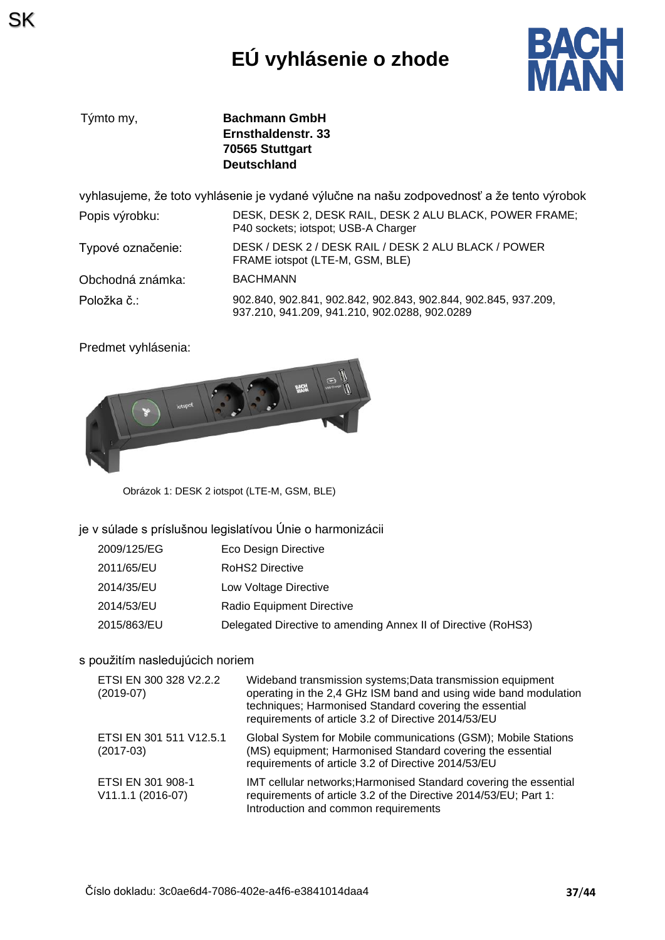# **EÚ vyhlásenie o zhode**



Týmto my, **Bachmann GmbH Ernsthaldenstr. 33 70565 Stuttgart Deutschland**

vyhlasujeme, že toto vyhlásenie je vydané výlučne na našu zodpovednosť a že tento výrobok

| Popis výrobku:    | DESK, DESK 2, DESK RAIL, DESK 2 ALU BLACK, POWER FRAME;<br>P40 sockets; iotspot; USB-A Charger                  |
|-------------------|-----------------------------------------------------------------------------------------------------------------|
| Typové označenie: | DESK / DESK 2 / DESK RAIL / DESK 2 ALU BLACK / POWER<br>FRAME iotspot (LTE-M, GSM, BLE)                         |
| Obchodná známka:  | <b>BACHMANN</b>                                                                                                 |
| Položka č∴        | 902.840, 902.841, 902.842, 902.843, 902.844, 902.845, 937.209,<br>937.210, 941.209, 941.210, 902.0288, 902.0289 |

Predmet vyhlásenia:



Obrázok 1: DESK 2 iotspot (LTE-M, GSM, BLE)

#### je v súlade s príslušnou legislatívou Únie o harmonizácii

| 2009/125/EG | Eco Design Directive                                          |
|-------------|---------------------------------------------------------------|
| 2011/65/EU  | <b>RoHS2 Directive</b>                                        |
| 2014/35/EU  | Low Voltage Directive                                         |
| 2014/53/EU  | Radio Equipment Directive                                     |
| 2015/863/EU | Delegated Directive to amending Annex II of Directive (RoHS3) |

#### s použitím nasledujúcich noriem

| ETSI EN 300 328 V2.2.2<br>$(2019-07)$  | Wideband transmission systems; Data transmission equipment<br>operating in the 2,4 GHz ISM band and using wide band modulation<br>techniques; Harmonised Standard covering the essential<br>requirements of article 3.2 of Directive 2014/53/EU |
|----------------------------------------|-------------------------------------------------------------------------------------------------------------------------------------------------------------------------------------------------------------------------------------------------|
| ETSI EN 301 511 V12.5.1<br>$(2017-03)$ | Global System for Mobile communications (GSM); Mobile Stations<br>(MS) equipment; Harmonised Standard covering the essential<br>requirements of article 3.2 of Directive 2014/53/EU                                                             |
| ETSI EN 301 908-1<br>V11.1.1 (2016-07) | IMT cellular networks; Harmonised Standard covering the essential<br>requirements of article 3.2 of the Directive 2014/53/EU; Part 1:<br>Introduction and common requirements                                                                   |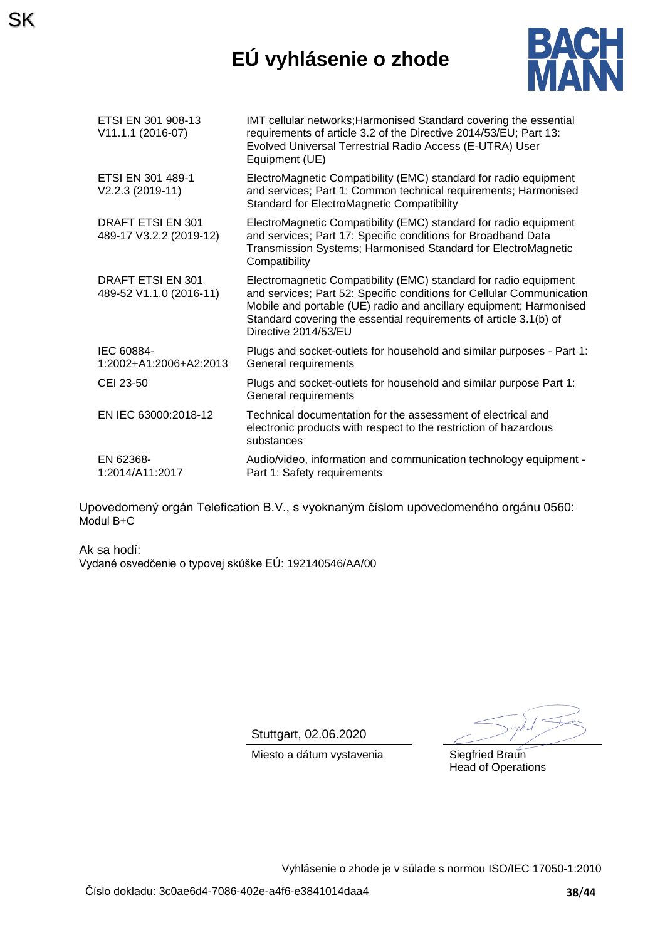## **EÚ vyhlásenie o zhode**



| ETSI EN 301 908-13<br>V11.1.1 (2016-07)             | IMT cellular networks; Harmonised Standard covering the essential<br>requirements of article 3.2 of the Directive 2014/53/EU; Part 13:<br>Evolved Universal Terrestrial Radio Access (E-UTRA) User<br>Equipment (UE)                                                                                         |
|-----------------------------------------------------|--------------------------------------------------------------------------------------------------------------------------------------------------------------------------------------------------------------------------------------------------------------------------------------------------------------|
| ETSI EN 301 489-1<br>V2.2.3 (2019-11)               | ElectroMagnetic Compatibility (EMC) standard for radio equipment<br>and services; Part 1: Common technical requirements; Harmonised<br>Standard for ElectroMagnetic Compatibility                                                                                                                            |
| <b>DRAFT ETSI EN 301</b><br>489-17 V3.2.2 (2019-12) | ElectroMagnetic Compatibility (EMC) standard for radio equipment<br>and services; Part 17: Specific conditions for Broadband Data<br>Transmission Systems; Harmonised Standard for ElectroMagnetic<br>Compatibility                                                                                          |
| DRAFT ETSI EN 301<br>489-52 V1.1.0 (2016-11)        | Electromagnetic Compatibility (EMC) standard for radio equipment<br>and services; Part 52: Specific conditions for Cellular Communication<br>Mobile and portable (UE) radio and ancillary equipment; Harmonised<br>Standard covering the essential requirements of article 3.1(b) of<br>Directive 2014/53/EU |
| IEC 60884-<br>1:2002+A1:2006+A2:2013                | Plugs and socket-outlets for household and similar purposes - Part 1:<br>General requirements                                                                                                                                                                                                                |
| CEI 23-50                                           | Plugs and socket-outlets for household and similar purpose Part 1:<br>General requirements                                                                                                                                                                                                                   |
| EN IEC 63000:2018-12                                | Technical documentation for the assessment of electrical and<br>electronic products with respect to the restriction of hazardous<br>substances                                                                                                                                                               |
| EN 62368-<br>1:2014/A11:2017                        | Audio/video, information and communication technology equipment -<br>Part 1: Safety requirements                                                                                                                                                                                                             |

Upovedomený orgán Telefication B.V., s vyoknaným číslom upovedomeného orgánu 0560: Modul B+C

Ak sa hodí: Vydané osvedčenie o typovej skúške EÚ: 192140546/AA/00

SK

Stuttgart, 02.06.2020

Miesto a dátum vystavenia Siegfried Braun

Head of Operations

Vyhlásenie o zhode je v súlade s normou ISO/IEC 17050-1:2010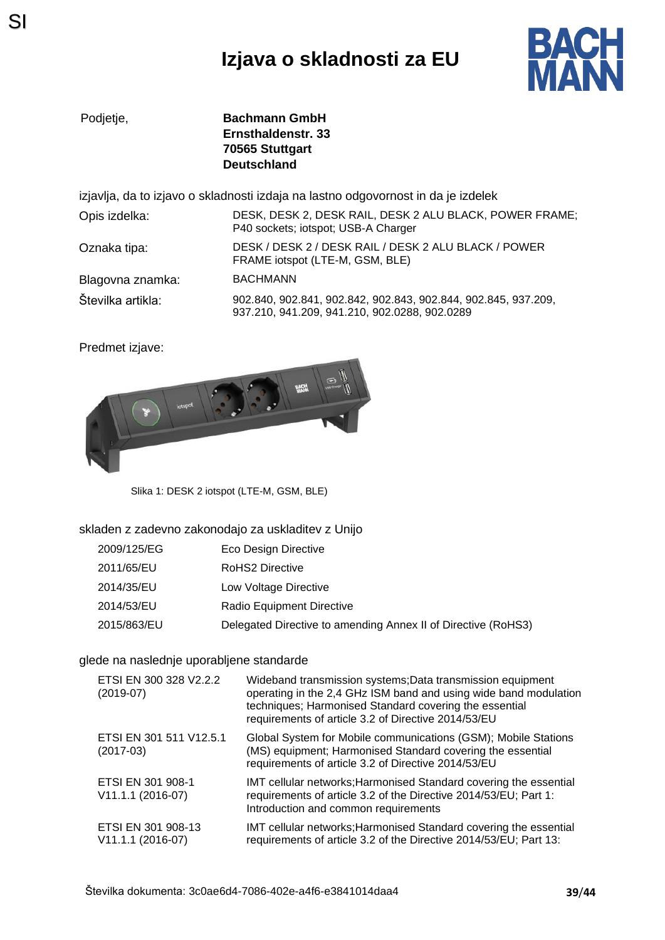## **Izjava o skladnosti za EU**



Podjetje, **Bachmann GmbH Ernsthaldenstr. 33 70565 Stuttgart Deutschland**

izjavlja, da to izjavo o skladnosti izdaja na lastno odgovornost in da je izdelek

| Opis izdelka:     | DESK, DESK 2, DESK RAIL, DESK 2 ALU BLACK, POWER FRAME;<br>P40 sockets; iotspot; USB-A Charger                  |
|-------------------|-----------------------------------------------------------------------------------------------------------------|
| Oznaka tipa:      | DESK / DESK 2 / DESK RAIL / DESK 2 ALU BLACK / POWER<br>FRAME iotspot (LTE-M, GSM, BLE)                         |
| Blagovna znamka:  | <b>BACHMANN</b>                                                                                                 |
| Številka artikla: | 902.840, 902.841, 902.842, 902.843, 902.844, 902.845, 937.209,<br>937.210, 941.209, 941.210, 902.0288, 902.0289 |

Predmet izjave:



Slika 1: DESK 2 iotspot (LTE-M, GSM, BLE)

#### skladen z zadevno zakonodajo za uskladitev z Unijo

| 2009/125/EG | Eco Design Directive                                          |
|-------------|---------------------------------------------------------------|
| 2011/65/EU  | RoHS2 Directive                                               |
| 2014/35/EU  | Low Voltage Directive                                         |
| 2014/53/EU  | Radio Equipment Directive                                     |
| 2015/863/EU | Delegated Directive to amending Annex II of Directive (RoHS3) |

#### glede na naslednje uporabljene standarde

| ETSI EN 300 328 V2.2.2<br>$(2019-07)$     | Wideband transmission systems; Data transmission equipment<br>operating in the 2,4 GHz ISM band and using wide band modulation<br>techniques; Harmonised Standard covering the essential<br>requirements of article 3.2 of Directive 2014/53/EU |
|-------------------------------------------|-------------------------------------------------------------------------------------------------------------------------------------------------------------------------------------------------------------------------------------------------|
| ETSI EN 301 511 V12.5.1<br>$(2017-03)$    | Global System for Mobile communications (GSM); Mobile Stations<br>(MS) equipment; Harmonised Standard covering the essential<br>requirements of article 3.2 of Directive 2014/53/EU                                                             |
| ETSI EN 301 908-1<br>V11.1.1 (2016-07)    | IMT cellular networks; Harmonised Standard covering the essential<br>requirements of article 3.2 of the Directive 2014/53/EU; Part 1:<br>Introduction and common requirements                                                                   |
| ETSI EN 301 908-13<br>$V11.1.1 (2016-07)$ | IMT cellular networks; Harmonised Standard covering the essential<br>requirements of article 3.2 of the Directive 2014/53/EU; Part 13:                                                                                                          |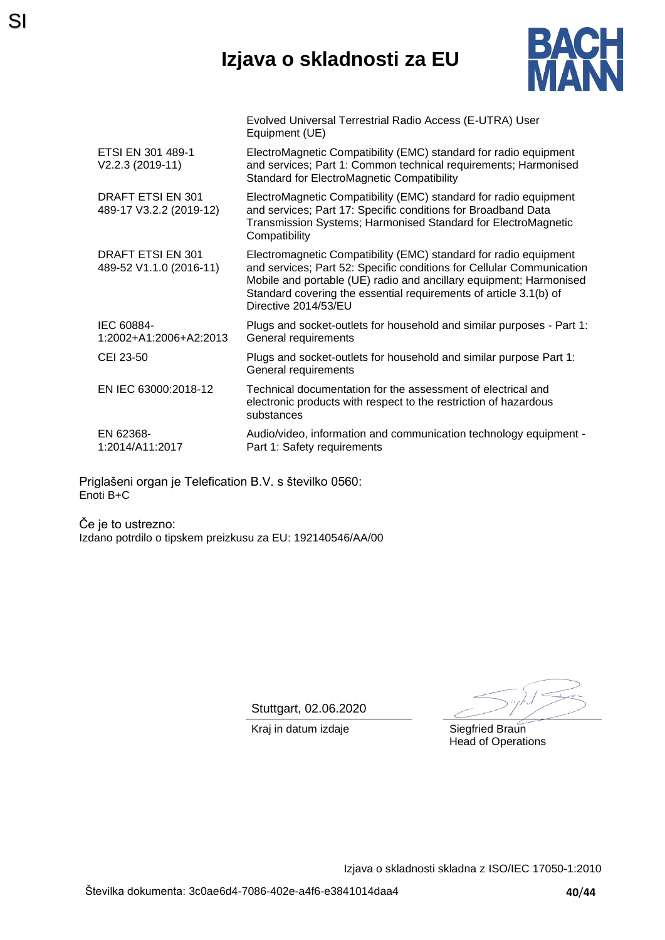### **Izjava o skladnosti za EU**



|                                              | Evolved Universal Terrestrial Radio Access (E-UTRA) User<br>Equipment (UE)                                                                                                                                                                                                                                   |
|----------------------------------------------|--------------------------------------------------------------------------------------------------------------------------------------------------------------------------------------------------------------------------------------------------------------------------------------------------------------|
| ETSI EN 301 489-1<br>V2.2.3 (2019-11)        | ElectroMagnetic Compatibility (EMC) standard for radio equipment<br>and services; Part 1: Common technical requirements; Harmonised<br><b>Standard for ElectroMagnetic Compatibility</b>                                                                                                                     |
| DRAFT ETSI EN 301<br>489-17 V3.2.2 (2019-12) | ElectroMagnetic Compatibility (EMC) standard for radio equipment<br>and services; Part 17: Specific conditions for Broadband Data<br>Transmission Systems; Harmonised Standard for ElectroMagnetic<br>Compatibility                                                                                          |
| DRAFT ETSI EN 301<br>489-52 V1.1.0 (2016-11) | Electromagnetic Compatibility (EMC) standard for radio equipment<br>and services; Part 52: Specific conditions for Cellular Communication<br>Mobile and portable (UE) radio and ancillary equipment; Harmonised<br>Standard covering the essential requirements of article 3.1(b) of<br>Directive 2014/53/EU |
| IEC 60884-<br>1:2002+A1:2006+A2:2013         | Plugs and socket-outlets for household and similar purposes - Part 1:<br>General requirements                                                                                                                                                                                                                |
| CEI 23-50                                    | Plugs and socket-outlets for household and similar purpose Part 1:<br>General requirements                                                                                                                                                                                                                   |
| EN IEC 63000:2018-12                         | Technical documentation for the assessment of electrical and<br>electronic products with respect to the restriction of hazardous<br>substances                                                                                                                                                               |
| EN 62368-<br>1:2014/A11:2017                 | Audio/video, information and communication technology equipment -<br>Part 1: Safety requirements                                                                                                                                                                                                             |
|                                              |                                                                                                                                                                                                                                                                                                              |

Priglašeni organ je Telefication B.V. s številko 0560: Enoti B+C

SI

Če je to ustrezno: Izdano potrdilo o tipskem preizkusu za EU: 192140546/AA/00

Stuttgart, 02.06.2020

Kraj in datum izdaje **Siegfried Braun** 

Head of Operations

Izjava o skladnosti skladna z ISO/IEC 17050-1:2010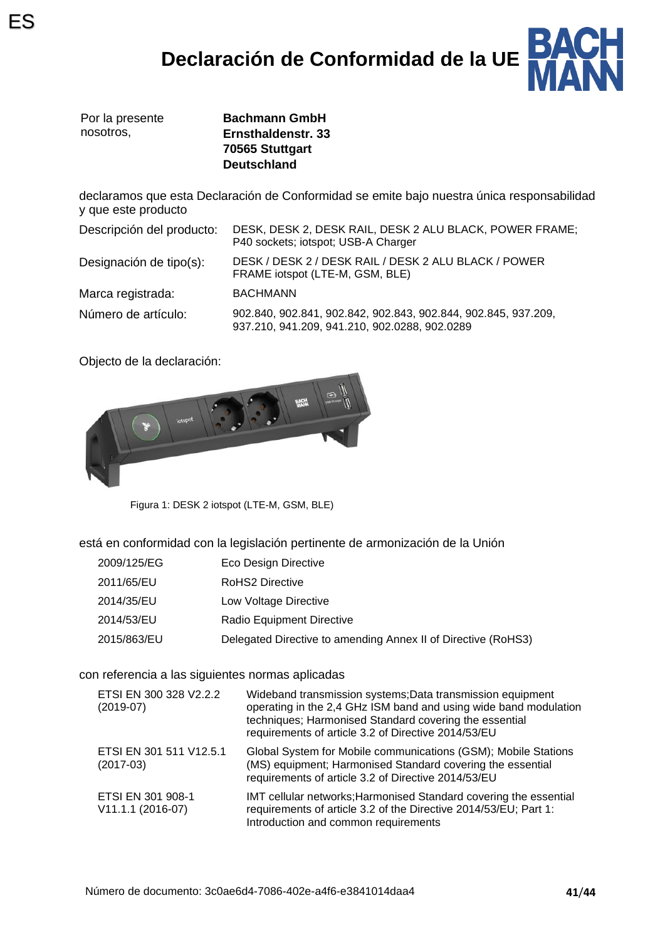## **Declaración de Conformidad de la UE**



|           | Por la presente |
|-----------|-----------------|
| nosotros. |                 |

**Bachmann GmbH Ernsthaldenstr. 33 70565 Stuttgart Deutschland**

declaramos que esta Declaración de Conformidad se emite bajo nuestra única responsabilidad y que este producto

| Descripción del producto: | DESK, DESK 2, DESK RAIL, DESK 2 ALU BLACK, POWER FRAME;<br>P40 sockets; iotspot; USB-A Charger                  |  |
|---------------------------|-----------------------------------------------------------------------------------------------------------------|--|
| Designación de tipo(s):   | DESK / DESK 2 / DESK RAIL / DESK 2 ALU BLACK / POWER<br>FRAME iotspot (LTE-M, GSM, BLE)                         |  |
| Marca registrada:         | <b>BACHMANN</b>                                                                                                 |  |
| Número de artículo:       | 902.840, 902.841, 902.842, 902.843, 902.844, 902.845, 937.209,<br>937.210, 941.209, 941.210, 902.0288, 902.0289 |  |

Objecto de la declaración:



Figura 1: DESK 2 iotspot (LTE-M, GSM, BLE)

está en conformidad con la legislación pertinente de armonización de la Unión

- 2009/125/EG Eco Design Directive
- 2011/65/EU RoHS2 Directive
- 2014/35/EU Low Voltage Directive
- 2014/53/EU Radio Equipment Directive
- 2015/863/EU Delegated Directive to amending Annex II of Directive (RoHS3)

#### con referencia a las siguientes normas aplicadas

| ETSI EN 300 328 V2.2.2<br>$(2019-07)$  | Wideband transmission systems; Data transmission equipment<br>operating in the 2,4 GHz ISM band and using wide band modulation<br>techniques; Harmonised Standard covering the essential<br>requirements of article 3.2 of Directive 2014/53/EU |
|----------------------------------------|-------------------------------------------------------------------------------------------------------------------------------------------------------------------------------------------------------------------------------------------------|
| ETSI EN 301 511 V12.5.1<br>$(2017-03)$ | Global System for Mobile communications (GSM); Mobile Stations<br>(MS) equipment; Harmonised Standard covering the essential<br>requirements of article 3.2 of Directive 2014/53/EU                                                             |
| ETSI EN 301 908-1<br>V11.1.1 (2016-07) | IMT cellular networks; Harmonised Standard covering the essential<br>requirements of article 3.2 of the Directive 2014/53/EU; Part 1:<br>Introduction and common requirements                                                                   |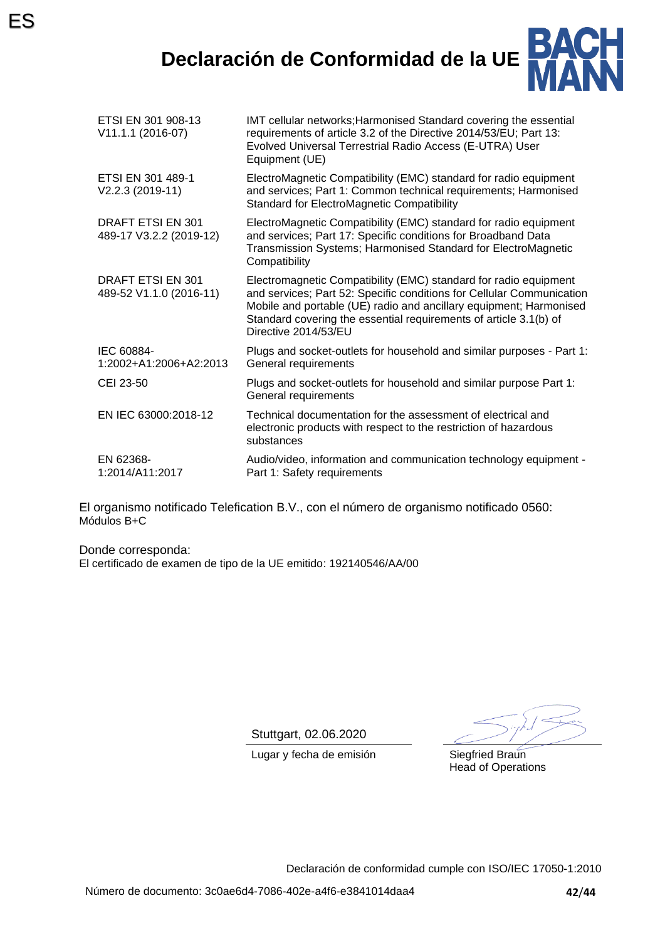ES



| ETSI EN 301 908-13<br>V11.1.1 (2016-07)             | IMT cellular networks; Harmonised Standard covering the essential<br>requirements of article 3.2 of the Directive 2014/53/EU; Part 13:<br>Evolved Universal Terrestrial Radio Access (E-UTRA) User<br>Equipment (UE)                                                                                         |
|-----------------------------------------------------|--------------------------------------------------------------------------------------------------------------------------------------------------------------------------------------------------------------------------------------------------------------------------------------------------------------|
| ETSI EN 301 489-1<br>V2.2.3 (2019-11)               | ElectroMagnetic Compatibility (EMC) standard for radio equipment<br>and services; Part 1: Common technical requirements; Harmonised<br><b>Standard for ElectroMagnetic Compatibility</b>                                                                                                                     |
| DRAFT ETSI EN 301<br>489-17 V3.2.2 (2019-12)        | ElectroMagnetic Compatibility (EMC) standard for radio equipment<br>and services; Part 17: Specific conditions for Broadband Data<br>Transmission Systems; Harmonised Standard for ElectroMagnetic<br>Compatibility                                                                                          |
| <b>DRAFT ETSI EN 301</b><br>489-52 V1.1.0 (2016-11) | Electromagnetic Compatibility (EMC) standard for radio equipment<br>and services; Part 52: Specific conditions for Cellular Communication<br>Mobile and portable (UE) radio and ancillary equipment; Harmonised<br>Standard covering the essential requirements of article 3.1(b) of<br>Directive 2014/53/EU |
| IEC 60884-<br>1:2002+A1:2006+A2:2013                | Plugs and socket-outlets for household and similar purposes - Part 1:<br>General requirements                                                                                                                                                                                                                |
| CEI 23-50                                           | Plugs and socket-outlets for household and similar purpose Part 1:<br>General requirements                                                                                                                                                                                                                   |
| EN IEC 63000:2018-12                                | Technical documentation for the assessment of electrical and<br>electronic products with respect to the restriction of hazardous<br>substances                                                                                                                                                               |
| EN 62368-<br>1:2014/A11:2017                        | Audio/video, information and communication technology equipment -<br>Part 1: Safety requirements                                                                                                                                                                                                             |
|                                                     |                                                                                                                                                                                                                                                                                                              |

El organismo notificado Telefication B.V., con el número de organismo notificado 0560: Módulos B+C

Donde corresponda: El certificado de examen de tipo de la UE emitido: 192140546/AA/00

Stuttgart, 02.06.2020

Lugar y fecha de emisión Siegfried Braun

Head of Operations

Declaración de conformidad cumple con ISO/IEC 17050-1:2010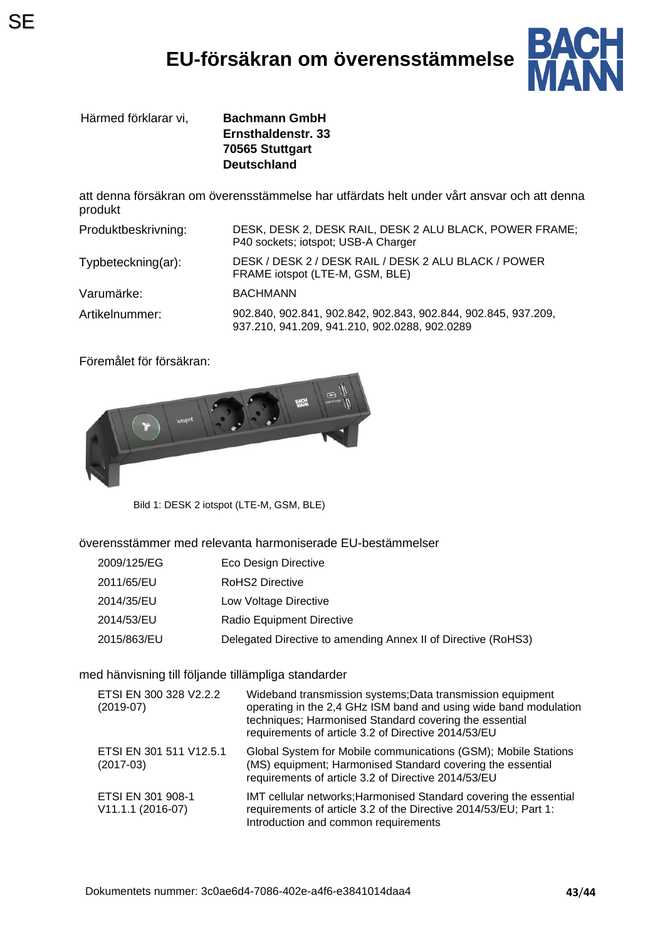## **EU-försäkran om överensstämmelse**



Härmed förklarar vi, **Bachmann GmbH**

**Ernsthaldenstr. 33 70565 Stuttgart Deutschland**

att denna försäkran om överensstämmelse har utfärdats helt under vårt ansvar och att denna produkt

| Produktbeskrivning: | DESK, DESK 2, DESK RAIL, DESK 2 ALU BLACK, POWER FRAME;<br>P40 sockets; iotspot; USB-A Charger                  |
|---------------------|-----------------------------------------------------------------------------------------------------------------|
| Typbeteckning(ar):  | DESK / DESK 2 / DESK RAIL / DESK 2 ALU BLACK / POWER<br>FRAME iotspot (LTE-M, GSM, BLE)                         |
| Varumärke:          | <b>BACHMANN</b>                                                                                                 |
| Artikelnummer:      | 902.840, 902.841, 902.842, 902.843, 902.844, 902.845, 937.209,<br>937.210, 941.209, 941.210, 902.0288, 902.0289 |

Föremålet för försäkran:



Bild 1: DESK 2 iotspot (LTE-M, GSM, BLE)

överensstämmer med relevanta harmoniserade EU-bestämmelser

- 2009/125/EG Eco Design Directive
- 2011/65/EU RoHS2 Directive
- 2014/35/EU Low Voltage Directive
- 2014/53/EU Radio Equipment Directive
- 2015/863/EU Delegated Directive to amending Annex II of Directive (RoHS3)

#### med hänvisning till följande tillämpliga standarder

| ETSI EN 300 328 V2.2.2<br>$(2019-07)$  | Wideband transmission systems; Data transmission equipment<br>operating in the 2,4 GHz ISM band and using wide band modulation<br>techniques; Harmonised Standard covering the essential<br>requirements of article 3.2 of Directive 2014/53/EU |
|----------------------------------------|-------------------------------------------------------------------------------------------------------------------------------------------------------------------------------------------------------------------------------------------------|
| ETSI EN 301 511 V12.5.1<br>$(2017-03)$ | Global System for Mobile communications (GSM); Mobile Stations<br>(MS) equipment; Harmonised Standard covering the essential<br>requirements of article 3.2 of Directive 2014/53/EU                                                             |
| ETSI EN 301 908-1<br>V11.1.1 (2016-07) | IMT cellular networks; Harmonised Standard covering the essential<br>requirements of article 3.2 of the Directive 2014/53/EU; Part 1:<br>Introduction and common requirements                                                                   |